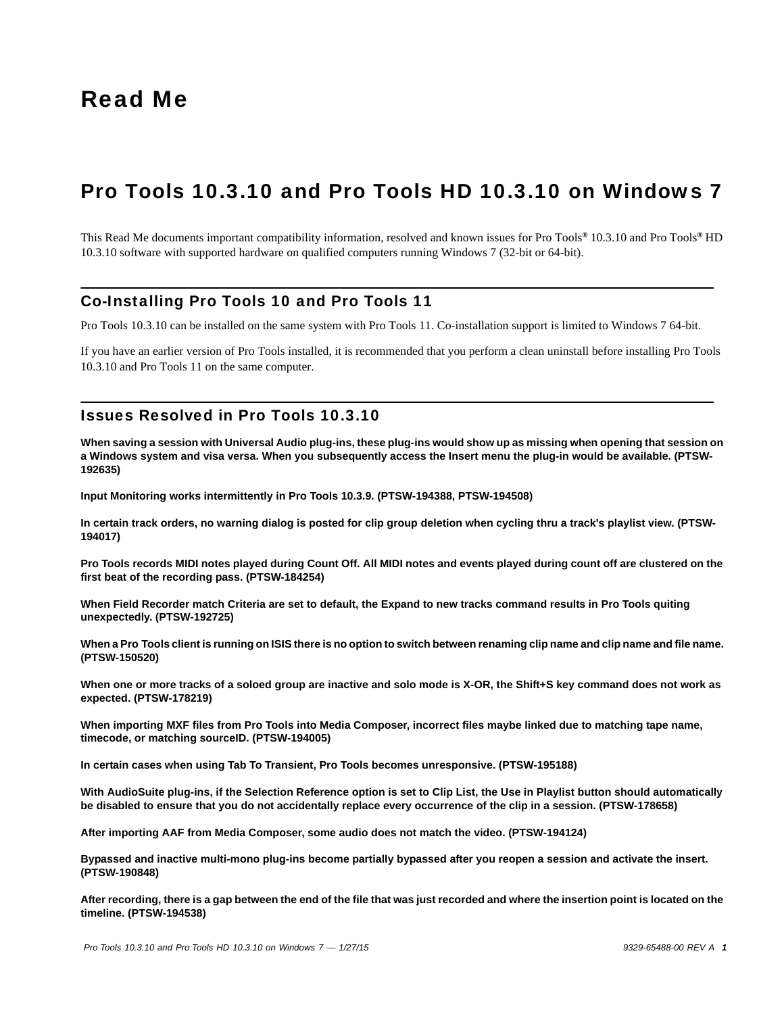# Pro Tools 10.3.10 and Pro Tools HD 10.3.10 on Windows 7

This Read Me documents important compatibility information, resolved and known issues for Pro Tools*®* 10.3.10 and Pro Tools*®* HD 10.3.10 software with supported hardware on qualified computers running Windows 7 (32-bit or 64-bit).

## Co-Installing Pro Tools 10 and Pro Tools 11

Pro Tools 10.3.10 can be installed on the same system with Pro Tools 11. Co-installation support is limited to Windows 7 64-bit.

If you have an earlier version of Pro Tools installed, it is recommended that you perform a clean uninstall before installing Pro Tools 10.3.10 and Pro Tools 11 on the same computer.

## Issues Resolved in Pro Tools 10.3.10

**When saving a session with Universal Audio plug-ins, these plug-ins would show up as missing when opening that session on a Windows system and visa versa. When you subsequently access the Insert menu the plug-in would be available. (PTSW-192635)**

**Input Monitoring works intermittently in Pro Tools 10.3.9. (PTSW-194388, PTSW-194508)**

**In certain track orders, no warning dialog is posted for clip group deletion when cycling thru a track's playlist view. (PTSW-194017)**

**Pro Tools records MIDI notes played during Count Off. All MIDI notes and events played during count off are clustered on the first beat of the recording pass. (PTSW-184254)**

**When Field Recorder match Criteria are set to default, the Expand to new tracks command results in Pro Tools quiting unexpectedly. (PTSW-192725)**

**When a Pro Tools client is running on ISIS there is no option to switch between renaming clip name and clip name and file name. (PTSW-150520)**

**When one or more tracks of a soloed group are inactive and solo mode is X-OR, the Shift+S key command does not work as expected. (PTSW-178219)**

**When importing MXF files from Pro Tools into Media Composer, incorrect files maybe linked due to matching tape name, timecode, or matching sourceID. (PTSW-194005)**

**In certain cases when using Tab To Transient, Pro Tools becomes unresponsive. (PTSW-195188)**

**With AudioSuite plug-ins, if the Selection Reference option is set to Clip List, the Use in Playlist button should automatically be disabled to ensure that you do not accidentally replace every occurrence of the clip in a session. (PTSW-178658)**

**After importing AAF from Media Composer, some audio does not match the video. (PTSW-194124)**

**Bypassed and inactive multi-mono plug-ins become partially bypassed after you reopen a session and activate the insert. (PTSW-190848)**

**After recording, there is a gap between the end of the file that was just recorded and where the insertion point is located on the timeline. (PTSW-194538)**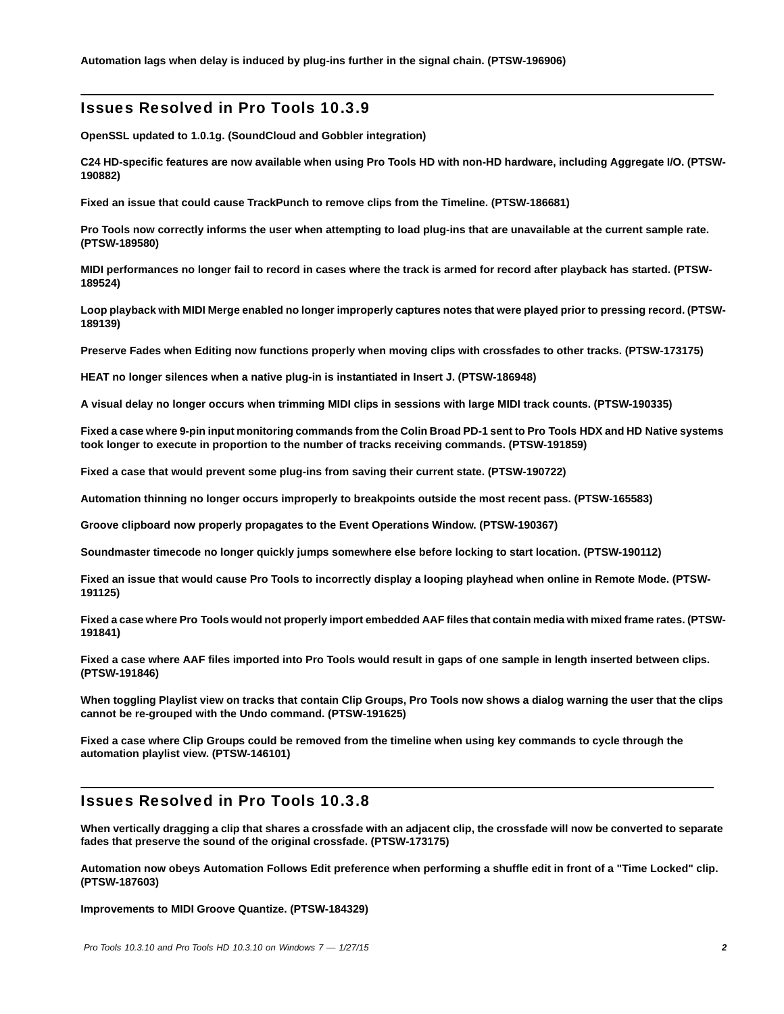### Issues Resolved in Pro Tools 10.3.9

**OpenSSL updated to 1.0.1g. (SoundCloud and Gobbler integration)**

**C24 HD-specific features are now available when using Pro Tools HD with non-HD hardware, including Aggregate I/O. (PTSW-190882)**

**Fixed an issue that could cause TrackPunch to remove clips from the Timeline. (PTSW-186681)**

**Pro Tools now correctly informs the user when attempting to load plug-ins that are unavailable at the current sample rate. (PTSW-189580)**

**MIDI performances no longer fail to record in cases where the track is armed for record after playback has started. (PTSW-189524)**

**Loop playback with MIDI Merge enabled no longer improperly captures notes that were played prior to pressing record. (PTSW-189139)**

**Preserve Fades when Editing now functions properly when moving clips with crossfades to other tracks. (PTSW-173175)**

**HEAT no longer silences when a native plug-in is instantiated in Insert J. (PTSW-186948)**

**A visual delay no longer occurs when trimming MIDI clips in sessions with large MIDI track counts. (PTSW-190335)**

**Fixed a case where 9-pin input monitoring commands from the Colin Broad PD-1 sent to Pro Tools HDX and HD Native systems took longer to execute in proportion to the number of tracks receiving commands. (PTSW-191859)**

**Fixed a case that would prevent some plug-ins from saving their current state. (PTSW-190722)**

**Automation thinning no longer occurs improperly to breakpoints outside the most recent pass. (PTSW-165583)**

**Groove clipboard now properly propagates to the Event Operations Window. (PTSW-190367)**

**Soundmaster timecode no longer quickly jumps somewhere else before locking to start location. (PTSW-190112)**

**Fixed an issue that would cause Pro Tools to incorrectly display a looping playhead when online in Remote Mode. (PTSW-191125)**

**Fixed a case where Pro Tools would not properly import embedded AAF files that contain media with mixed frame rates. (PTSW-191841)**

**Fixed a case where AAF files imported into Pro Tools would result in gaps of one sample in length inserted between clips. (PTSW-191846)**

**When toggling Playlist view on tracks that contain Clip Groups, Pro Tools now shows a dialog warning the user that the clips cannot be re-grouped with the Undo command. (PTSW-191625)**

**Fixed a case where Clip Groups could be removed from the timeline when using key commands to cycle through the automation playlist view. (PTSW-146101)**

## Issues Resolved in Pro Tools 10.3.8

**When vertically dragging a clip that shares a crossfade with an adjacent clip, the crossfade will now be converted to separate fades that preserve the sound of the original crossfade. (PTSW-173175)**

**Automation now obeys Automation Follows Edit preference when performing a shuffle edit in front of a "Time Locked" clip. (PTSW-187603)**

**Improvements to MIDI Groove Quantize. (PTSW-184329)**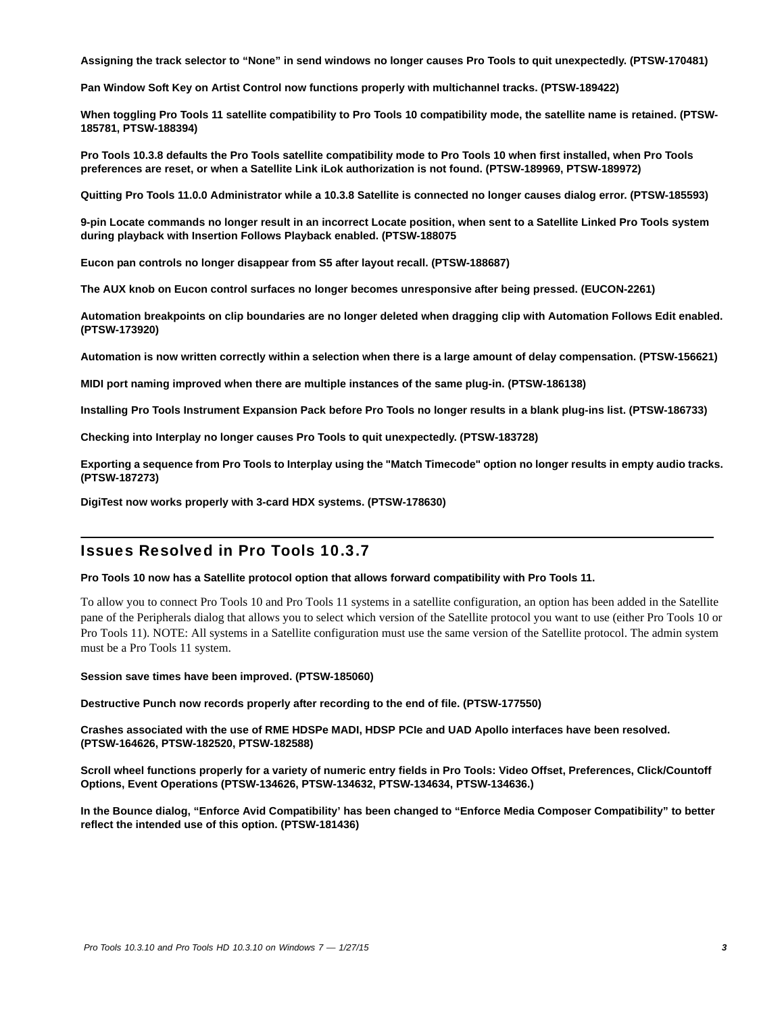**Assigning the track selector to "None" in send windows no longer causes Pro Tools to quit unexpectedly. (PTSW-170481)**

**Pan Window Soft Key on Artist Control now functions properly with multichannel tracks. (PTSW-189422)**

**When toggling Pro Tools 11 satellite compatibility to Pro Tools 10 compatibility mode, the satellite name is retained. (PTSW-185781, PTSW-188394)**

**Pro Tools 10.3.8 defaults the Pro Tools satellite compatibility mode to Pro Tools 10 when first installed, when Pro Tools preferences are reset, or when a Satellite Link iLok authorization is not found. (PTSW-189969, PTSW-189972)**

**Quitting Pro Tools 11.0.0 Administrator while a 10.3.8 Satellite is connected no longer causes dialog error. (PTSW-185593)**

**9-pin Locate commands no longer result in an incorrect Locate position, when sent to a Satellite Linked Pro Tools system during playback with Insertion Follows Playback enabled. (PTSW-188075**

**Eucon pan controls no longer disappear from S5 after layout recall. (PTSW-188687)**

**The AUX knob on Eucon control surfaces no longer becomes unresponsive after being pressed. (EUCON-2261)**

**Automation breakpoints on clip boundaries are no longer deleted when dragging clip with Automation Follows Edit enabled. (PTSW-173920)**

**Automation is now written correctly within a selection when there is a large amount of delay compensation. (PTSW-156621)**

**MIDI port naming improved when there are multiple instances of the same plug-in. (PTSW-186138)**

**Installing Pro Tools Instrument Expansion Pack before Pro Tools no longer results in a blank plug-ins list. (PTSW-186733)**

**Checking into Interplay no longer causes Pro Tools to quit unexpectedly. (PTSW-183728)**

**Exporting a sequence from Pro Tools to Interplay using the "Match Timecode" option no longer results in empty audio tracks. (PTSW-187273)**

**DigiTest now works properly with 3-card HDX systems. (PTSW-178630)**

### Issues Resolved in Pro Tools 10.3.7

#### **Pro Tools 10 now has a Satellite protocol option that allows forward compatibility with Pro Tools 11.**

To allow you to connect Pro Tools 10 and Pro Tools 11 systems in a satellite configuration, an option has been added in the Satellite pane of the Peripherals dialog that allows you to select which version of the Satellite protocol you want to use (either Pro Tools 10 or Pro Tools 11). NOTE: All systems in a Satellite configuration must use the same version of the Satellite protocol. The admin system must be a Pro Tools 11 system.

**Session save times have been improved. (PTSW-185060)**

**Destructive Punch now records properly after recording to the end of file. (PTSW-177550)**

**Crashes associated with the use of RME HDSPe MADI, HDSP PCIe and UAD Apollo interfaces have been resolved. (PTSW-164626, PTSW-182520, PTSW-182588)**

**Scroll wheel functions properly for a variety of numeric entry fields in Pro Tools: Video Offset, Preferences, Click/Countoff Options, Event Operations (PTSW-134626, PTSW-134632, PTSW-134634, PTSW-134636.)**

**In the Bounce dialog, "Enforce Avid Compatibility' has been changed to "Enforce Media Composer Compatibility" to better reflect the intended use of this option. (PTSW-181436)**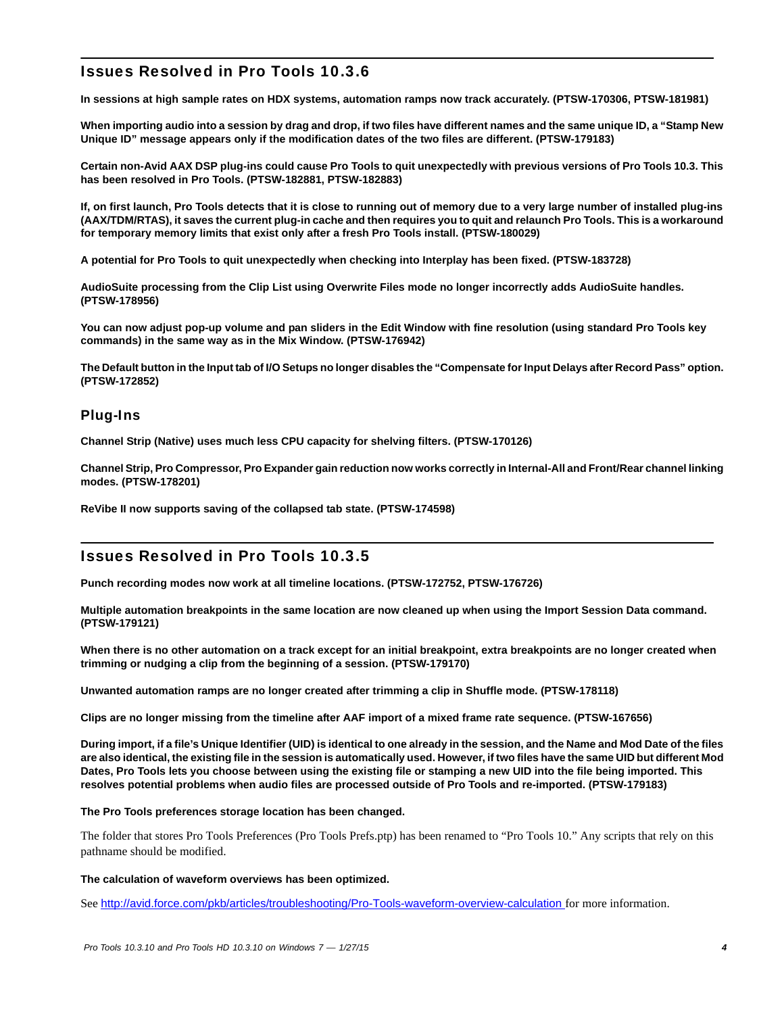## Issues Resolved in Pro Tools 10.3.6

**In sessions at high sample rates on HDX systems, automation ramps now track accurately. (PTSW-170306, PTSW-181981)**

**When importing audio into a session by drag and drop, if two files have different names and the same unique ID, a "Stamp New Unique ID" message appears only if the modification dates of the two files are different. (PTSW-179183)**

**Certain non-Avid AAX DSP plug-ins could cause Pro Tools to quit unexpectedly with previous versions of Pro Tools 10.3. This has been resolved in Pro Tools. (PTSW-182881, PTSW-182883)**

**If, on first launch, Pro Tools detects that it is close to running out of memory due to a very large number of installed plug-ins (AAX/TDM/RTAS), it saves the current plug-in cache and then requires you to quit and relaunch Pro Tools. This is a workaround for temporary memory limits that exist only after a fresh Pro Tools install. (PTSW-180029)**

**A potential for Pro Tools to quit unexpectedly when checking into Interplay has been fixed. (PTSW-183728)** 

**AudioSuite processing from the Clip List using Overwrite Files mode no longer incorrectly adds AudioSuite handles. (PTSW-178956)**

**You can now adjust pop-up volume and pan sliders in the Edit Window with fine resolution (using standard Pro Tools key commands) in the same way as in the Mix Window. (PTSW-176942)**

**The Default button in the Input tab of I/O Setups no longer disables the "Compensate for Input Delays after Record Pass" option. (PTSW-172852)**

## Plug-Ins

**Channel Strip (Native) uses much less CPU capacity for shelving filters. (PTSW-170126)**

**Channel Strip, Pro Compressor, Pro Expander gain reduction now works correctly in Internal-All and Front/Rear channel linking modes. (PTSW-178201)**

**ReVibe II now supports saving of the collapsed tab state. (PTSW-174598)**

## Issues Resolved in Pro Tools 10.3.5

**Punch recording modes now work at all timeline locations. (PTSW-172752, PTSW-176726)**

**Multiple automation breakpoints in the same location are now cleaned up when using the Import Session Data command. (PTSW-179121)**

**When there is no other automation on a track except for an initial breakpoint, extra breakpoints are no longer created when trimming or nudging a clip from the beginning of a session. (PTSW-179170)**

**Unwanted automation ramps are no longer created after trimming a clip in Shuffle mode. (PTSW-178118)**

**Clips are no longer missing from the timeline after AAF import of a mixed frame rate sequence. (PTSW-167656)**

**During import, if a file's Unique Identifier (UID) is identical to one already in the session, and the Name and Mod Date of the files are also identical, the existing file in the session is automatically used. However, if two files have the same UID but different Mod Dates, Pro Tools lets you choose between using the existing file or stamping a new UID into the file being imported. This resolves potential problems when audio files are processed outside of Pro Tools and re-imported. (PTSW-179183)**

#### **The Pro Tools preferences storage location has been changed.**

The folder that stores Pro Tools Preferences (Pro Tools Prefs.ptp) has been renamed to "Pro Tools 10." Any scripts that rely on this pathname should be modified.

#### **The calculation of waveform overviews has been optimized.**

See <http://avid.force.com/pkb/articles/troubleshooting/Pro-Tools-waveform-overview-calculation>for more information.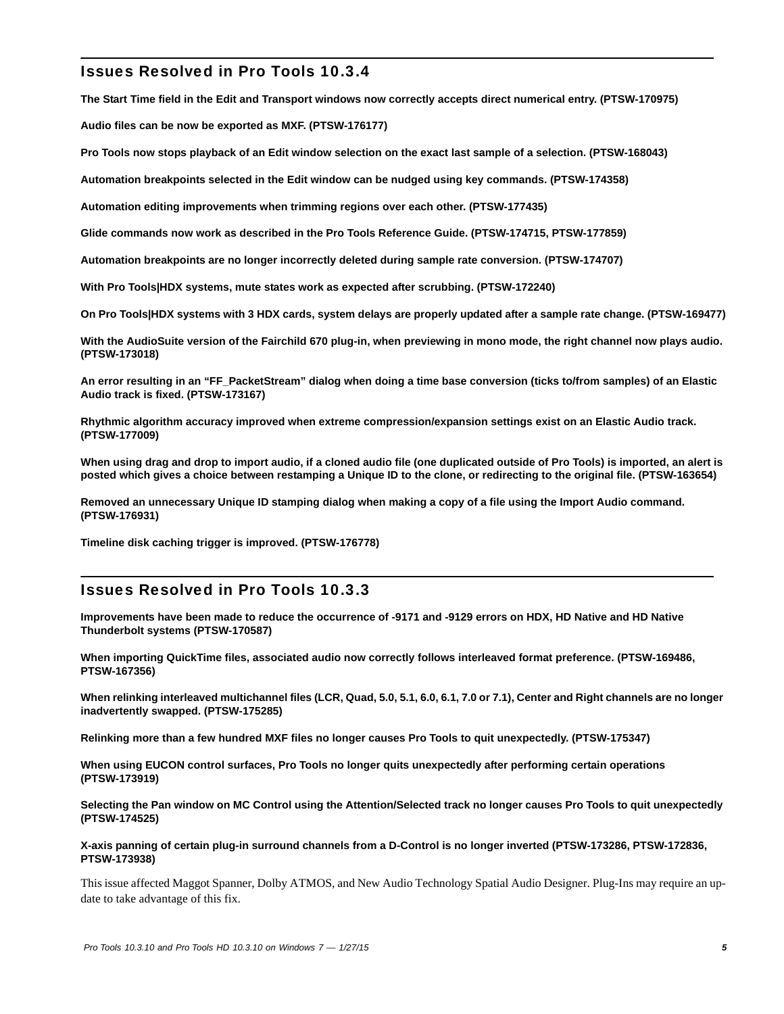## Issues Resolved in Pro Tools 10.3.4

**The Start Time field in the Edit and Transport windows now correctly accepts direct numerical entry. (PTSW-170975)**

**Audio files can be now be exported as MXF. (PTSW-176177)**

**Pro Tools now stops playback of an Edit window selection on the exact last sample of a selection. (PTSW-168043)**

**Automation breakpoints selected in the Edit window can be nudged using key commands. (PTSW-174358)**

**Automation editing improvements when trimming regions over each other. (PTSW-177435)**

**Glide commands now work as described in the Pro Tools Reference Guide. (PTSW-174715, PTSW-177859)**

**Automation breakpoints are no longer incorrectly deleted during sample rate conversion. (PTSW-174707)**

**With Pro Tools|HDX systems, mute states work as expected after scrubbing. (PTSW-172240)**

**On Pro Tools|HDX systems with 3 HDX cards, system delays are properly updated after a sample rate change. (PTSW-169477)**

**With the AudioSuite version of the Fairchild 670 plug-in, when previewing in mono mode, the right channel now plays audio. (PTSW-173018)**

**An error resulting in an "FF\_PacketStream" dialog when doing a time base conversion (ticks to/from samples) of an Elastic Audio track is fixed. (PTSW-173167)**

**Rhythmic algorithm accuracy improved when extreme compression/expansion settings exist on an Elastic Audio track. (PTSW-177009)**

**When using drag and drop to import audio, if a cloned audio file (one duplicated outside of Pro Tools) is imported, an alert is posted which gives a choice between restamping a Unique ID to the clone, or redirecting to the original file. (PTSW-163654)**

**Removed an unnecessary Unique ID stamping dialog when making a copy of a file using the Import Audio command. (PTSW-176931)**

**Timeline disk caching trigger is improved. (PTSW-176778)**

## Issues Resolved in Pro Tools 10.3.3

**Improvements have been made to reduce the occurrence of -9171 and -9129 errors on HDX, HD Native and HD Native Thunderbolt systems (PTSW-170587)**

**When importing QuickTime files, associated audio now correctly follows interleaved format preference. (PTSW-169486, PTSW-167356)**

**When relinking interleaved multichannel files (LCR, Quad, 5.0, 5.1, 6.0, 6.1, 7.0 or 7.1), Center and Right channels are no longer inadvertently swapped. (PTSW-175285)**

**Relinking more than a few hundred MXF files no longer causes Pro Tools to quit unexpectedly. (PTSW-175347)**

**When using EUCON control surfaces, Pro Tools no longer quits unexpectedly after performing certain operations (PTSW-173919)**

**Selecting the Pan window on MC Control using the Attention/Selected track no longer causes Pro Tools to quit unexpectedly (PTSW-174525)**

#### **X-axis panning of certain plug-in surround channels from a D-Control is no longer inverted (PTSW-173286, PTSW-172836, PTSW-173938)**

This issue affected Maggot Spanner, Dolby ATMOS, and New Audio Technology Spatial Audio Designer. Plug-Ins may require an update to take advantage of this fix.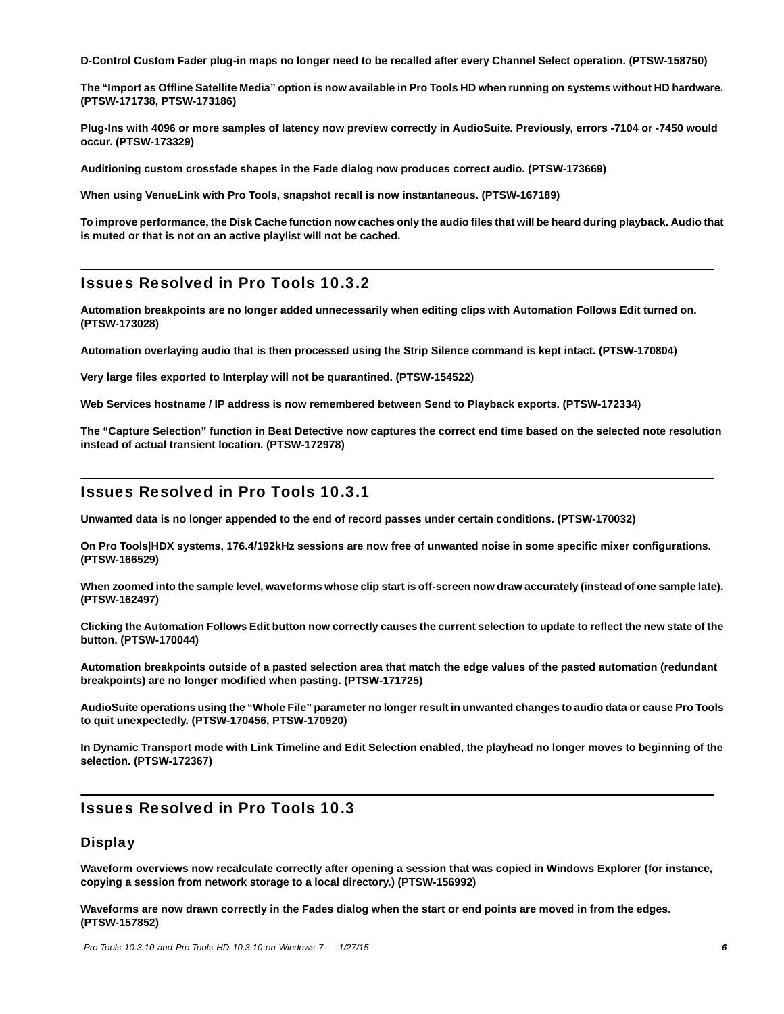**D-Control Custom Fader plug-in maps no longer need to be recalled after every Channel Select operation. (PTSW-158750)**

**The "Import as Offline Satellite Media" option is now available in Pro Tools HD when running on systems without HD hardware. (PTSW-171738, PTSW-173186)**

**Plug-Ins with 4096 or more samples of latency now preview correctly in AudioSuite. Previously, errors -7104 or -7450 would occur. (PTSW-173329)**

**Auditioning custom crossfade shapes in the Fade dialog now produces correct audio. (PTSW-173669)**

**When using VenueLink with Pro Tools, snapshot recall is now instantaneous. (PTSW-167189)**

**To improve performance, the Disk Cache function now caches only the audio files that will be heard during playback. Audio that is muted or that is not on an active playlist will not be cached.**

## Issues Resolved in Pro Tools 10.3.2

**Automation breakpoints are no longer added unnecessarily when editing clips with Automation Follows Edit turned on. (PTSW-173028)**

**Automation overlaying audio that is then processed using the Strip Silence command is kept intact. (PTSW-170804)**

**Very large files exported to Interplay will not be quarantined. (PTSW-154522)**

**Web Services hostname / IP address is now remembered between Send to Playback exports. (PTSW-172334)**

**The "Capture Selection" function in Beat Detective now captures the correct end time based on the selected note resolution instead of actual transient location. (PTSW-172978)**

## Issues Resolved in Pro Tools 10.3.1

**Unwanted data is no longer appended to the end of record passes under certain conditions. (PTSW-170032)**

**On Pro Tools|HDX systems, 176.4/192kHz sessions are now free of unwanted noise in some specific mixer configurations. (PTSW-166529)**

**When zoomed into the sample level, waveforms whose clip start is off-screen now draw accurately (instead of one sample late). (PTSW-162497)**

**Clicking the Automation Follows Edit button now correctly causes the current selection to update to reflect the new state of the button. (PTSW-170044)**

**Automation breakpoints outside of a pasted selection area that match the edge values of the pasted automation (redundant breakpoints) are no longer modified when pasting. (PTSW-171725)**

**AudioSuite operations using the "Whole File" parameter no longer result in unwanted changes to audio data or cause Pro Tools to quit unexpectedly. (PTSW-170456, PTSW-170920)**

**In Dynamic Transport mode with Link Timeline and Edit Selection enabled, the playhead no longer moves to beginning of the selection. (PTSW-172367)**

## Issues Resolved in Pro Tools 10.3

### **Display**

**Waveform overviews now recalculate correctly after opening a session that was copied in Windows Explorer (for instance, copying a session from network storage to a local directory.) (PTSW-156992)**

**Waveforms are now drawn correctly in the Fades dialog when the start or end points are moved in from the edges. (PTSW-157852)**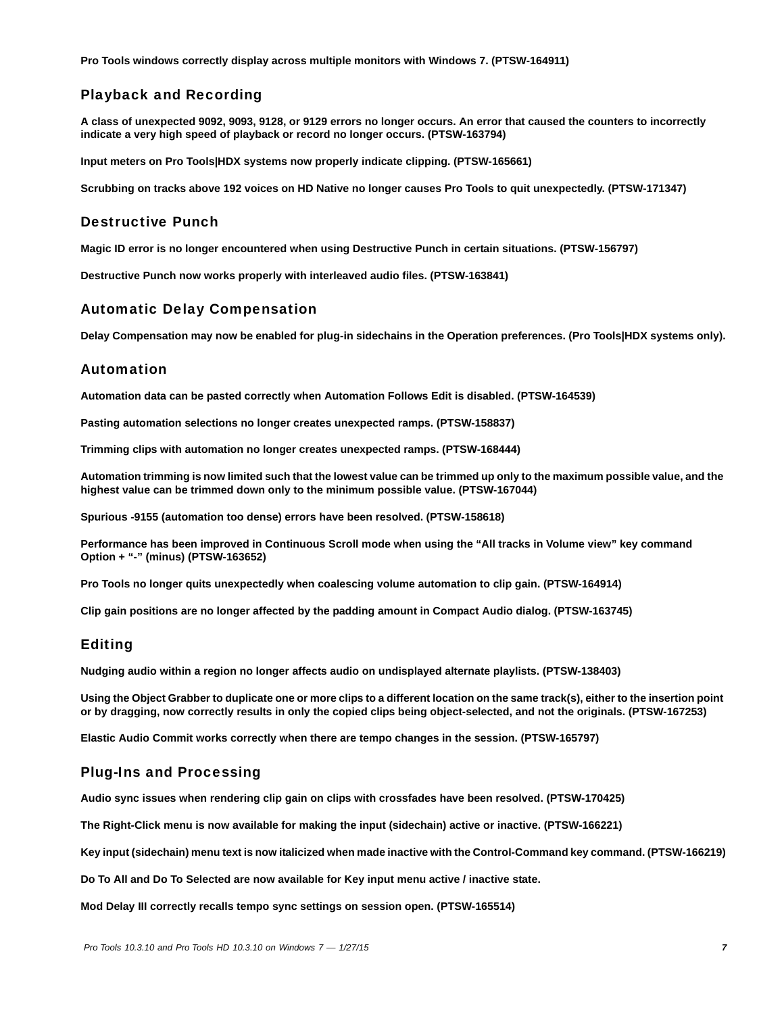**Pro Tools windows correctly display across multiple monitors with Windows 7. (PTSW-164911)**

## Playback and Recording

**A class of unexpected 9092, 9093, 9128, or 9129 errors no longer occurs. An error that caused the counters to incorrectly indicate a very high speed of playback or record no longer occurs. (PTSW-163794)**

**Input meters on Pro Tools|HDX systems now properly indicate clipping. (PTSW-165661)**

**Scrubbing on tracks above 192 voices on HD Native no longer causes Pro Tools to quit unexpectedly. (PTSW-171347)**

### Destructive Punch

**Magic ID error is no longer encountered when using Destructive Punch in certain situations. (PTSW-156797)**

**Destructive Punch now works properly with interleaved audio files. (PTSW-163841)**

### Automatic Delay Compensation

**Delay Compensation may now be enabled for plug-in sidechains in the Operation preferences. (Pro Tools|HDX systems only).**

### Automation

**Automation data can be pasted correctly when Automation Follows Edit is disabled. (PTSW-164539)**

**Pasting automation selections no longer creates unexpected ramps. (PTSW-158837)**

**Trimming clips with automation no longer creates unexpected ramps. (PTSW-168444)**

**Automation trimming is now limited such that the lowest value can be trimmed up only to the maximum possible value, and the highest value can be trimmed down only to the minimum possible value. (PTSW-167044)**

**Spurious -9155 (automation too dense) errors have been resolved. (PTSW-158618)**

**Performance has been improved in Continuous Scroll mode when using the "All tracks in Volume view" key command Option + "-" (minus) (PTSW-163652)**

**Pro Tools no longer quits unexpectedly when coalescing volume automation to clip gain. (PTSW-164914)**

**Clip gain positions are no longer affected by the padding amount in Compact Audio dialog. (PTSW-163745)**

## Editing

**Nudging audio within a region no longer affects audio on undisplayed alternate playlists. (PTSW-138403)**

**Using the Object Grabber to duplicate one or more clips to a different location on the same track(s), either to the insertion point or by dragging, now correctly results in only the copied clips being object-selected, and not the originals. (PTSW-167253)**

**Elastic Audio Commit works correctly when there are tempo changes in the session. (PTSW-165797)**

### Plug-Ins and Processing

**Audio sync issues when rendering clip gain on clips with crossfades have been resolved. (PTSW-170425)**

**The Right-Click menu is now available for making the input (sidechain) active or inactive. (PTSW-166221)**

**Key input (sidechain) menu text is now italicized when made inactive with the Control-Command key command. (PTSW-166219)**

**Do To All and Do To Selected are now available for Key input menu active / inactive state.**

**Mod Delay III correctly recalls tempo sync settings on session open. (PTSW-165514)**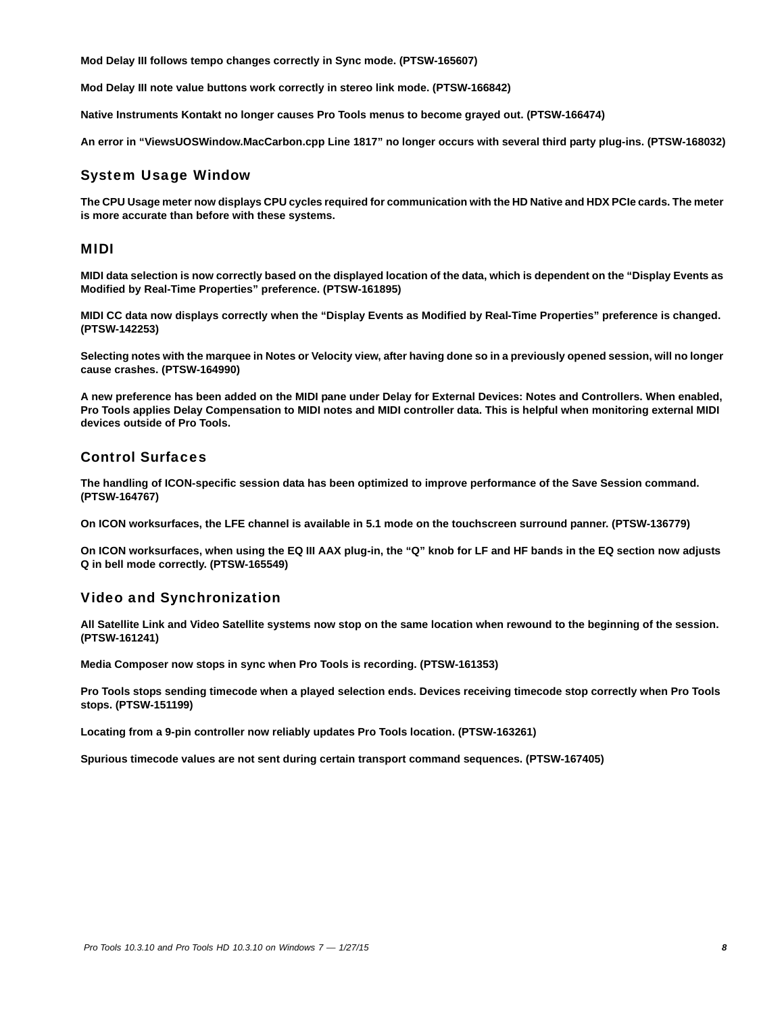**Mod Delay III follows tempo changes correctly in Sync mode. (PTSW-165607)**

**Mod Delay III note value buttons work correctly in stereo link mode. (PTSW-166842)**

**Native Instruments Kontakt no longer causes Pro Tools menus to become grayed out. (PTSW-166474)**

**An error in "ViewsUOSWindow.MacCarbon.cpp Line 1817" no longer occurs with several third party plug-ins. (PTSW-168032)**

### System Usage Window

**The CPU Usage meter now displays CPU cycles required for communication with the HD Native and HDX PCIe cards. The meter is more accurate than before with these systems.** 

### MIDI

**MIDI data selection is now correctly based on the displayed location of the data, which is dependent on the "Display Events as Modified by Real-Time Properties" preference. (PTSW-161895)**

**MIDI CC data now displays correctly when the "Display Events as Modified by Real-Time Properties" preference is changed. (PTSW-142253)**

**Selecting notes with the marquee in Notes or Velocity view, after having done so in a previously opened session, will no longer cause crashes. (PTSW-164990)**

**A new preference has been added on the MIDI pane under Delay for External Devices: Notes and Controllers. When enabled, Pro Tools applies Delay Compensation to MIDI notes and MIDI controller data. This is helpful when monitoring external MIDI devices outside of Pro Tools.**

### Control Surfaces

**The handling of ICON-specific session data has been optimized to improve performance of the Save Session command. (PTSW-164767)**

**On ICON worksurfaces, the LFE channel is available in 5.1 mode on the touchscreen surround panner. (PTSW-136779)**

**On ICON worksurfaces, when using the EQ III AAX plug-in, the "Q" knob for LF and HF bands in the EQ section now adjusts Q in bell mode correctly. (PTSW-165549)**

## Video and Synchronization

**All Satellite Link and Video Satellite systems now stop on the same location when rewound to the beginning of the session. (PTSW-161241)**

**Media Composer now stops in sync when Pro Tools is recording. (PTSW-161353)**

**Pro Tools stops sending timecode when a played selection ends. Devices receiving timecode stop correctly when Pro Tools stops. (PTSW-151199)**

**Locating from a 9-pin controller now reliably updates Pro Tools location. (PTSW-163261)**

**Spurious timecode values are not sent during certain transport command sequences. (PTSW-167405)**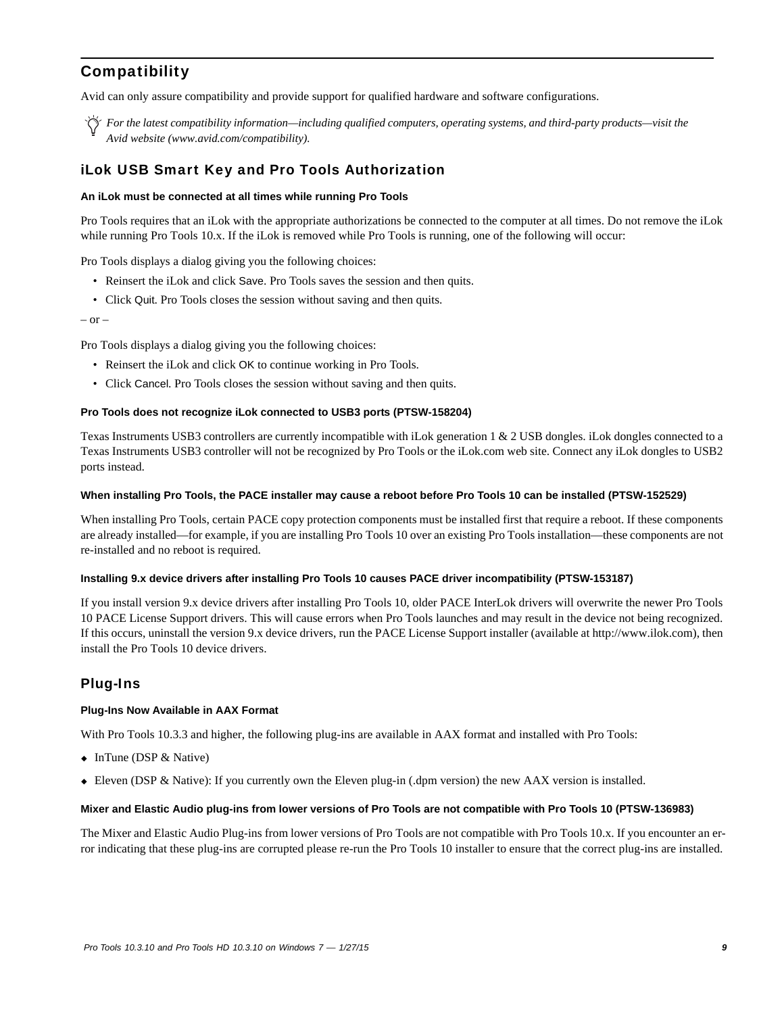## **Compatibility**

Avid can only assure compatibility and provide support for qualified hardware and software configurations.

*For the latest compatibility information—including qualified computers, operating systems, and third-party products—visit the Avid website (www.avid.com/compatibility).*

### iLok USB Smart Key and Pro Tools Authorization

#### **An iLok must be connected at all times while running Pro Tools**

Pro Tools requires that an iLok with the appropriate authorizations be connected to the computer at all times. Do not remove the iLok while running Pro Tools 10.x. If the iLok is removed while Pro Tools is running, one of the following will occur:

Pro Tools displays a dialog giving you the following choices:

- Reinsert the iLok and click Save. Pro Tools saves the session and then quits.
- Click Quit. Pro Tools closes the session without saving and then quits.

– or –

Pro Tools displays a dialog giving you the following choices:

- Reinsert the iLok and click OK to continue working in Pro Tools.
- Click Cancel. Pro Tools closes the session without saving and then quits.

#### **Pro Tools does not recognize iLok connected to USB3 ports (PTSW-158204)**

Texas Instruments USB3 controllers are currently incompatible with iLok generation 1 & 2 USB dongles. iLok dongles connected to a Texas Instruments USB3 controller will not be recognized by Pro Tools or the iLok.com web site. Connect any iLok dongles to USB2 ports instead.

#### **When installing Pro Tools, the PACE installer may cause a reboot before Pro Tools 10 can be installed (PTSW-152529)**

When installing Pro Tools, certain PACE copy protection components must be installed first that require a reboot. If these components are already installed—for example, if you are installing Pro Tools 10 over an existing Pro Tools installation—these components are not re-installed and no reboot is required.

#### **Installing 9.x device drivers after installing Pro Tools 10 causes PACE driver incompatibility (PTSW-153187)**

If you install version 9.x device drivers after installing Pro Tools 10, older PACE InterLok drivers will overwrite the newer Pro Tools 10 PACE License Support drivers. This will cause errors when Pro Tools launches and may result in the device not being recognized. If this occurs, uninstall the version 9.x device drivers, run the PACE License Support installer (available at http://www.ilok.com), then install the Pro Tools 10 device drivers.

#### Plug-Ins

#### **Plug-Ins Now Available in AAX Format**

With Pro Tools 10.3.3 and higher, the following plug-ins are available in AAX format and installed with Pro Tools:

- $\bullet$  InTune (DSP & Native)
- Eleven (DSP & Native): If you currently own the Eleven plug-in (.dpm version) the new AAX version is installed.

#### **Mixer and Elastic Audio plug-ins from lower versions of Pro Tools are not compatible with Pro Tools 10 (PTSW-136983)**

The Mixer and Elastic Audio Plug-ins from lower versions of Pro Tools are not compatible with Pro Tools 10.x. If you encounter an error indicating that these plug-ins are corrupted please re-run the Pro Tools 10 installer to ensure that the correct plug-ins are installed.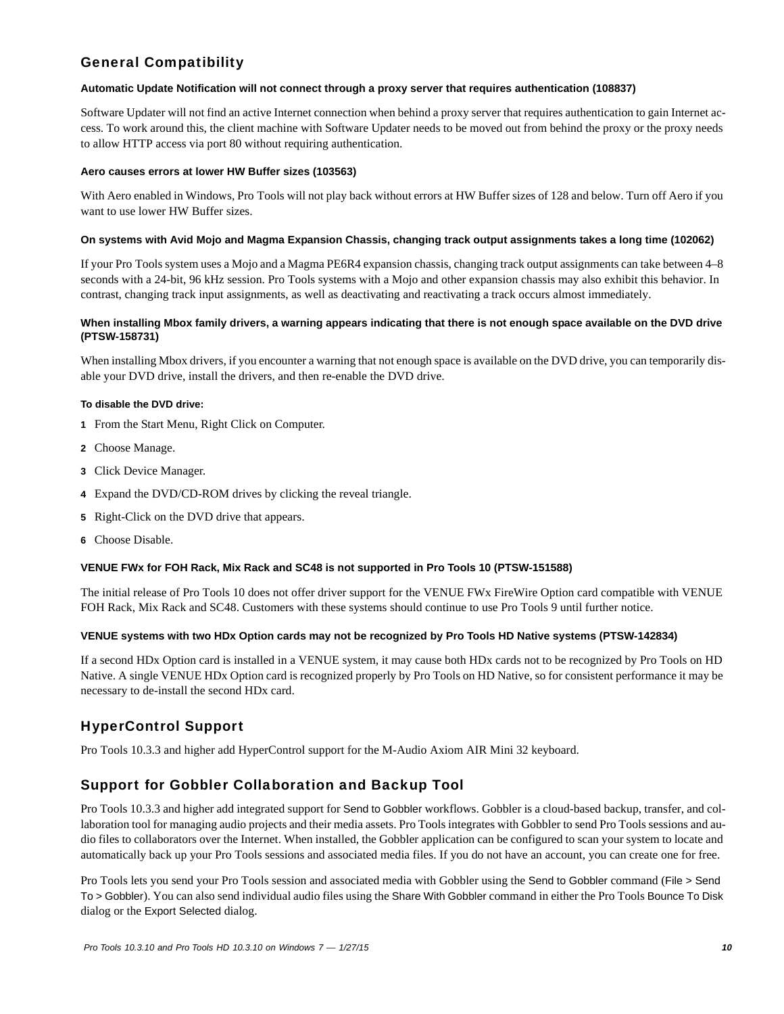## General Compatibility

#### **Automatic Update Notification will not connect through a proxy server that requires authentication (108837)**

Software Updater will not find an active Internet connection when behind a proxy server that requires authentication to gain Internet access. To work around this, the client machine with Software Updater needs to be moved out from behind the proxy or the proxy needs to allow HTTP access via port 80 without requiring authentication.

#### **Aero causes errors at lower HW Buffer sizes (103563)**

With Aero enabled in Windows, Pro Tools will not play back without errors at HW Buffer sizes of 128 and below. Turn off Aero if you want to use lower HW Buffer sizes.

#### **On systems with Avid Mojo and Magma Expansion Chassis, changing track output assignments takes a long time (102062)**

If your Pro Tools system uses a Mojo and a Magma PE6R4 expansion chassis, changing track output assignments can take between 4–8 seconds with a 24-bit, 96 kHz session. Pro Tools systems with a Mojo and other expansion chassis may also exhibit this behavior. In contrast, changing track input assignments, as well as deactivating and reactivating a track occurs almost immediately.

#### **When installing Mbox family drivers, a warning appears indicating that there is not enough space available on the DVD drive (PTSW-158731)**

When installing Mbox drivers, if you encounter a warning that not enough space is available on the DVD drive, you can temporarily disable your DVD drive, install the drivers, and then re-enable the DVD drive.

#### **To disable the DVD drive:**

- **1** From the Start Menu, Right Click on Computer.
- **2** Choose Manage.
- **3** Click Device Manager.
- **4** Expand the DVD/CD-ROM drives by clicking the reveal triangle.
- **5** Right-Click on the DVD drive that appears.
- **6** Choose Disable.

#### **VENUE FWx for FOH Rack, Mix Rack and SC48 is not supported in Pro Tools 10 (PTSW-151588)**

The initial release of Pro Tools 10 does not offer driver support for the VENUE FWx FireWire Option card compatible with VENUE FOH Rack, Mix Rack and SC48. Customers with these systems should continue to use Pro Tools 9 until further notice.

#### **VENUE systems with two HDx Option cards may not be recognized by Pro Tools HD Native systems (PTSW-142834)**

If a second HDx Option card is installed in a VENUE system, it may cause both HDx cards not to be recognized by Pro Tools on HD Native. A single VENUE HDx Option card is recognized properly by Pro Tools on HD Native, so for consistent performance it may be necessary to de-install the second HDx card.

## HyperControl Support

Pro Tools 10.3.3 and higher add HyperControl support for the M-Audio Axiom AIR Mini 32 keyboard.

## Support for Gobbler Collaboration and Backup Tool

Pro Tools 10.3.3 and higher add integrated support for Send to Gobbler workflows. Gobbler is a cloud-based backup, transfer, and collaboration tool for managing audio projects and their media assets. Pro Tools integrates with Gobbler to send Pro Tools sessions and audio files to collaborators over the Internet. When installed, the Gobbler application can be configured to scan your system to locate and automatically back up your Pro Tools sessions and associated media files. If you do not have an account, you can create one for free.

Pro Tools lets you send your Pro Tools session and associated media with Gobbler using the Send to Gobbler command (File > Send To > Gobbler). You can also send individual audio files using the Share With Gobbler command in either the Pro Tools Bounce To Disk dialog or the Export Selected dialog.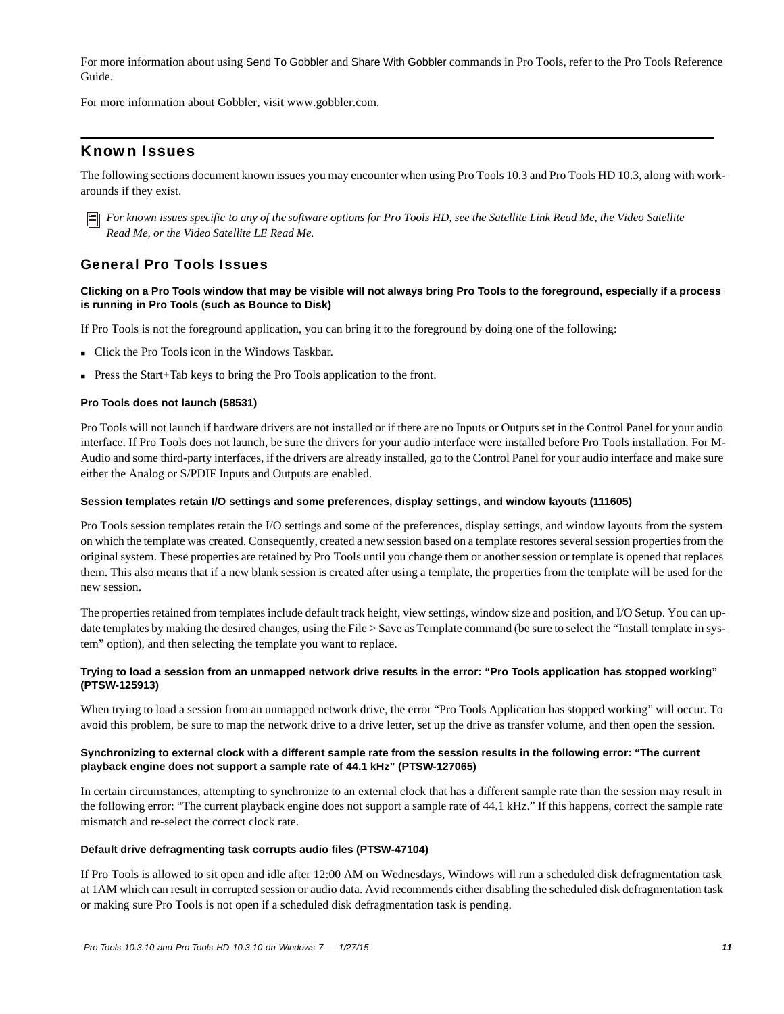For more information about using Send To Gobbler and Share With Gobbler commands in Pro Tools, refer to the Pro Tools Reference Guide.

For more information about Gobbler, visit www.gobbler.com.

### Known Issues

The following sections document known issues you may encounter when using Pro Tools 10.3 and Pro Tools HD 10.3, along with workarounds if they exist.



*For known issues specific to any of the software options for Pro Tools HD, see the Satellite Link Read Me, the Video Satellite Read Me, or the Video Satellite LE Read Me.*

## General Pro Tools Issues

#### **Clicking on a Pro Tools window that may be visible will not always bring Pro Tools to the foreground, especially if a process is running in Pro Tools (such as Bounce to Disk)**

If Pro Tools is not the foreground application, you can bring it to the foreground by doing one of the following:

- Click the Pro Tools icon in the Windows Taskbar.
- Press the Start+Tab keys to bring the Pro Tools application to the front.

#### **Pro Tools does not launch (58531)**

Pro Tools will not launch if hardware drivers are not installed or if there are no Inputs or Outputs set in the Control Panel for your audio interface. If Pro Tools does not launch, be sure the drivers for your audio interface were installed before Pro Tools installation. For M-Audio and some third-party interfaces, if the drivers are already installed, go to the Control Panel for your audio interface and make sure either the Analog or S/PDIF Inputs and Outputs are enabled.

#### **Session templates retain I/O settings and some preferences, display settings, and window layouts (111605)**

Pro Tools session templates retain the I/O settings and some of the preferences, display settings, and window layouts from the system on which the template was created. Consequently, created a new session based on a template restores several session properties from the original system. These properties are retained by Pro Tools until you change them or another session or template is opened that replaces them. This also means that if a new blank session is created after using a template, the properties from the template will be used for the new session.

The properties retained from templates include default track height, view settings, window size and position, and I/O Setup. You can update templates by making the desired changes, using the File > Save as Template command (be sure to select the "Install template in system" option), and then selecting the template you want to replace.

#### **Trying to load a session from an unmapped network drive results in the error: "Pro Tools application has stopped working" (PTSW-125913)**

When trying to load a session from an unmapped network drive, the error "Pro Tools Application has stopped working" will occur. To avoid this problem, be sure to map the network drive to a drive letter, set up the drive as transfer volume, and then open the session.

#### **Synchronizing to external clock with a different sample rate from the session results in the following error: "The current playback engine does not support a sample rate of 44.1 kHz" (PTSW-127065)**

In certain circumstances, attempting to synchronize to an external clock that has a different sample rate than the session may result in the following error: "The current playback engine does not support a sample rate of 44.1 kHz." If this happens, correct the sample rate mismatch and re-select the correct clock rate.

#### **Default drive defragmenting task corrupts audio files (PTSW-47104)**

If Pro Tools is allowed to sit open and idle after 12:00 AM on Wednesdays, Windows will run a scheduled disk defragmentation task at 1AM which can result in corrupted session or audio data. Avid recommends either disabling the scheduled disk defragmentation task or making sure Pro Tools is not open if a scheduled disk defragmentation task is pending.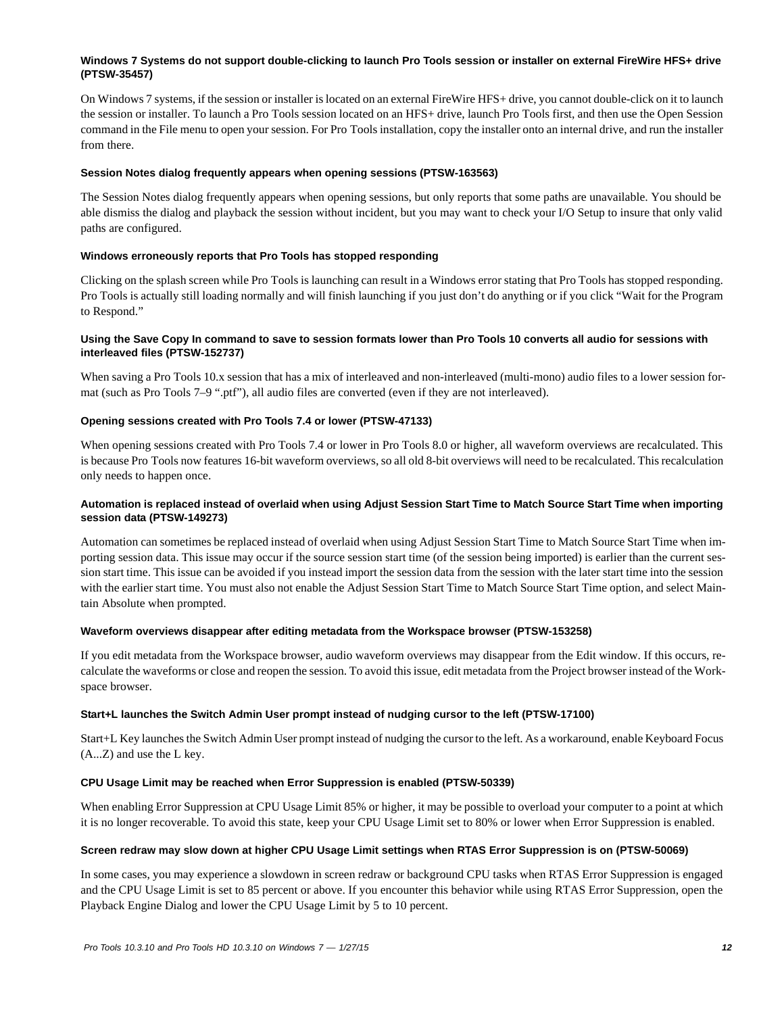#### **Windows 7 Systems do not support double-clicking to launch Pro Tools session or installer on external FireWire HFS+ drive (PTSW-35457)**

On Windows 7 systems, if the session or installer is located on an external FireWire HFS+ drive, you cannot double-click on it to launch the session or installer. To launch a Pro Tools session located on an HFS+ drive, launch Pro Tools first, and then use the Open Session command in the File menu to open your session. For Pro Tools installation, copy the installer onto an internal drive, and run the installer from there.

#### **Session Notes dialog frequently appears when opening sessions (PTSW-163563)**

The Session Notes dialog frequently appears when opening sessions, but only reports that some paths are unavailable. You should be able dismiss the dialog and playback the session without incident, but you may want to check your I/O Setup to insure that only valid paths are configured.

#### **Windows erroneously reports that Pro Tools has stopped responding**

Clicking on the splash screen while Pro Tools is launching can result in a Windows error stating that Pro Tools has stopped responding. Pro Tools is actually still loading normally and will finish launching if you just don't do anything or if you click "Wait for the Program to Respond."

#### **Using the Save Copy In command to save to session formats lower than Pro Tools 10 converts all audio for sessions with interleaved files (PTSW-152737)**

When saving a Pro Tools 10.x session that has a mix of interleaved and non-interleaved (multi-mono) audio files to a lower session format (such as Pro Tools 7–9 ".ptf"), all audio files are converted (even if they are not interleaved).

#### **Opening sessions created with Pro Tools 7.4 or lower (PTSW-47133)**

When opening sessions created with Pro Tools 7.4 or lower in Pro Tools 8.0 or higher, all waveform overviews are recalculated. This is because Pro Tools now features 16-bit waveform overviews, so all old 8-bit overviews will need to be recalculated. This recalculation only needs to happen once.

#### **Automation is replaced instead of overlaid when using Adjust Session Start Time to Match Source Start Time when importing session data (PTSW-149273)**

Automation can sometimes be replaced instead of overlaid when using Adjust Session Start Time to Match Source Start Time when importing session data. This issue may occur if the source session start time (of the session being imported) is earlier than the current session start time. This issue can be avoided if you instead import the session data from the session with the later start time into the session with the earlier start time. You must also not enable the Adjust Session Start Time to Match Source Start Time option, and select Maintain Absolute when prompted.

#### **Waveform overviews disappear after editing metadata from the Workspace browser (PTSW-153258)**

If you edit metadata from the Workspace browser, audio waveform overviews may disappear from the Edit window. If this occurs, recalculate the waveforms or close and reopen the session. To avoid this issue, edit metadata from the Project browser instead of the Workspace browser.

#### **Start+L launches the Switch Admin User prompt instead of nudging cursor to the left (PTSW-17100)**

Start+L Key launches the Switch Admin User prompt instead of nudging the cursor to the left. As a workaround, enable Keyboard Focus (A...Z) and use the L key.

#### **CPU Usage Limit may be reached when Error Suppression is enabled (PTSW-50339)**

When enabling Error Suppression at CPU Usage Limit 85% or higher, it may be possible to overload your computer to a point at which it is no longer recoverable. To avoid this state, keep your CPU Usage Limit set to 80% or lower when Error Suppression is enabled.

#### **Screen redraw may slow down at higher CPU Usage Limit settings when RTAS Error Suppression is on (PTSW-50069)**

In some cases, you may experience a slowdown in screen redraw or background CPU tasks when RTAS Error Suppression is engaged and the CPU Usage Limit is set to 85 percent or above. If you encounter this behavior while using RTAS Error Suppression, open the Playback Engine Dialog and lower the CPU Usage Limit by 5 to 10 percent.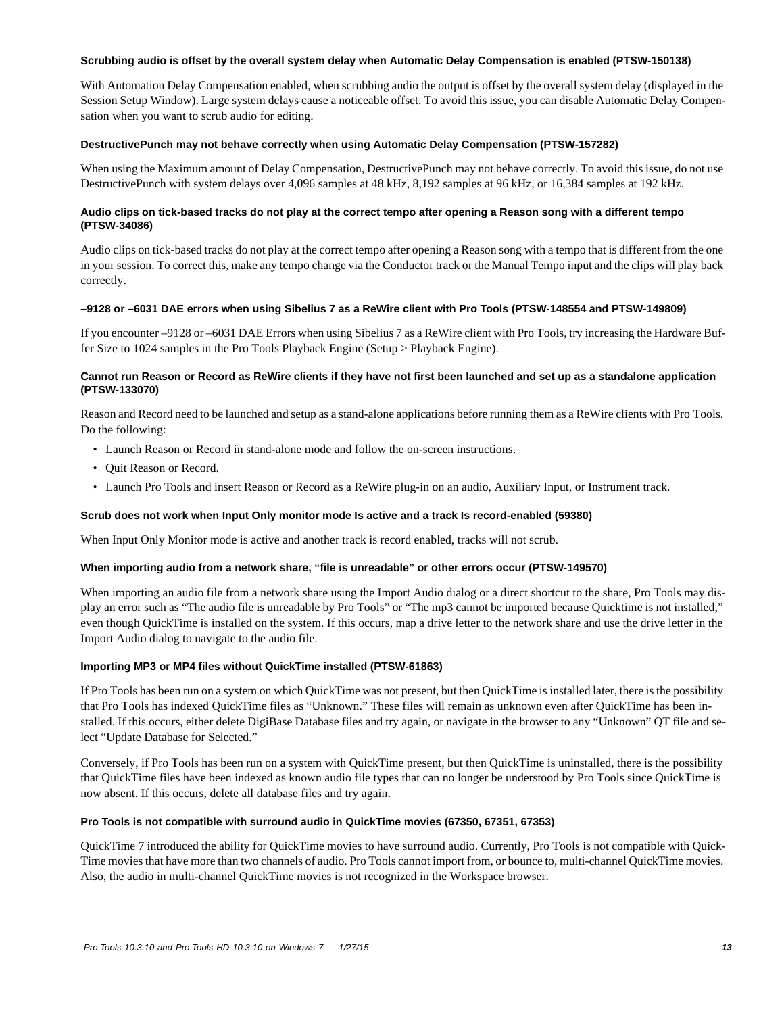#### **Scrubbing audio is offset by the overall system delay when Automatic Delay Compensation is enabled (PTSW-150138)**

With Automation Delay Compensation enabled, when scrubbing audio the output is offset by the overall system delay (displayed in the Session Setup Window). Large system delays cause a noticeable offset. To avoid this issue, you can disable Automatic Delay Compensation when you want to scrub audio for editing.

#### **DestructivePunch may not behave correctly when using Automatic Delay Compensation (PTSW-157282)**

When using the Maximum amount of Delay Compensation, DestructivePunch may not behave correctly. To avoid this issue, do not use DestructivePunch with system delays over 4,096 samples at 48 kHz, 8,192 samples at 96 kHz, or 16,384 samples at 192 kHz.

#### **Audio clips on tick-based tracks do not play at the correct tempo after opening a Reason song with a different tempo (PTSW-34086)**

Audio clips on tick-based tracks do not play at the correct tempo after opening a Reason song with a tempo that is different from the one in your session. To correct this, make any tempo change via the Conductor track or the Manual Tempo input and the clips will play back correctly.

#### **–9128 or –6031 DAE errors when using Sibelius 7 as a ReWire client with Pro Tools (PTSW-148554 and PTSW-149809)**

If you encounter –9128 or –6031 DAE Errors when using Sibelius 7 as a ReWire client with Pro Tools, try increasing the Hardware Buffer Size to 1024 samples in the Pro Tools Playback Engine (Setup > Playback Engine).

#### **Cannot run Reason or Record as ReWire clients if they have not first been launched and set up as a standalone application (PTSW-133070)**

Reason and Record need to be launched and setup as a stand-alone applications before running them as a ReWire clients with Pro Tools. Do the following:

- Launch Reason or Record in stand-alone mode and follow the on-screen instructions.
- Quit Reason or Record.
- Launch Pro Tools and insert Reason or Record as a ReWire plug-in on an audio, Auxiliary Input, or Instrument track.

#### **Scrub does not work when Input Only monitor mode Is active and a track Is record-enabled (59380)**

When Input Only Monitor mode is active and another track is record enabled, tracks will not scrub.

#### **When importing audio from a network share, "file is unreadable" or other errors occur (PTSW-149570)**

When importing an audio file from a network share using the Import Audio dialog or a direct shortcut to the share, Pro Tools may display an error such as "The audio file is unreadable by Pro Tools" or "The mp3 cannot be imported because Quicktime is not installed," even though QuickTime is installed on the system. If this occurs, map a drive letter to the network share and use the drive letter in the Import Audio dialog to navigate to the audio file.

#### **Importing MP3 or MP4 files without QuickTime installed (PTSW-61863)**

If Pro Tools has been run on a system on which QuickTime was not present, but then QuickTime is installed later, there is the possibility that Pro Tools has indexed QuickTime files as "Unknown." These files will remain as unknown even after QuickTime has been installed. If this occurs, either delete DigiBase Database files and try again, or navigate in the browser to any "Unknown" QT file and select "Update Database for Selected."

Conversely, if Pro Tools has been run on a system with QuickTime present, but then QuickTime is uninstalled, there is the possibility that QuickTime files have been indexed as known audio file types that can no longer be understood by Pro Tools since QuickTime is now absent. If this occurs, delete all database files and try again.

#### **Pro Tools is not compatible with surround audio in QuickTime movies (67350, 67351, 67353)**

QuickTime 7 introduced the ability for QuickTime movies to have surround audio. Currently, Pro Tools is not compatible with Quick-Time movies that have more than two channels of audio. Pro Tools cannot import from, or bounce to, multi-channel QuickTime movies. Also, the audio in multi-channel QuickTime movies is not recognized in the Workspace browser.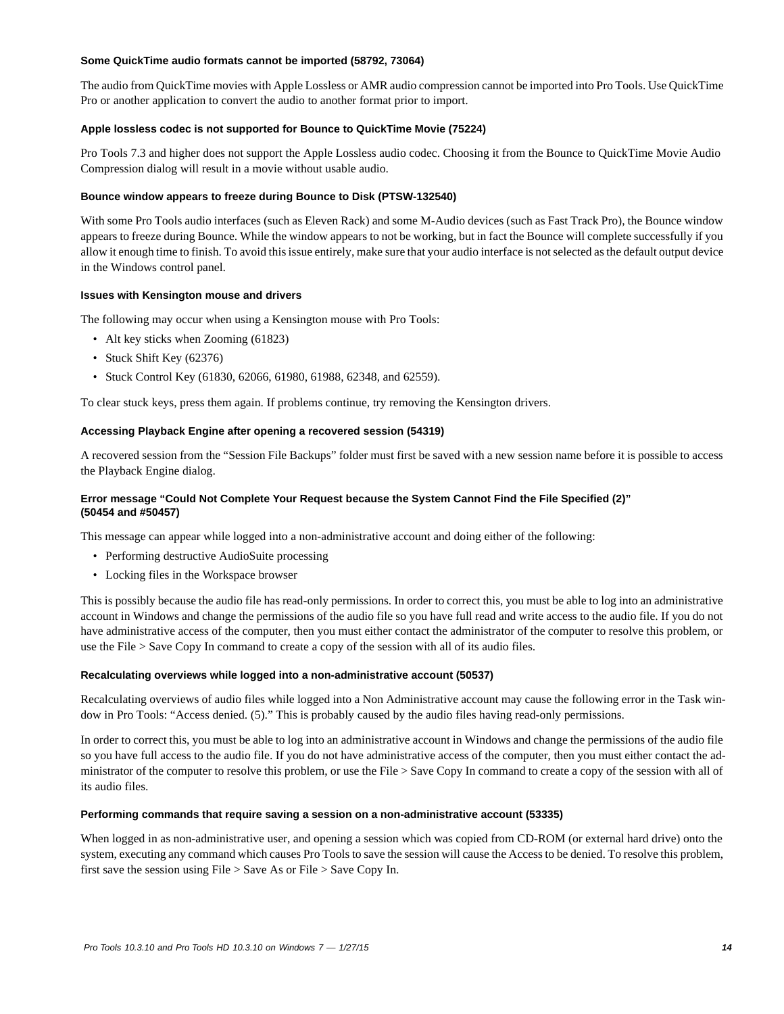#### **Some QuickTime audio formats cannot be imported (58792, 73064)**

The audio from QuickTime movies with Apple Lossless or AMR audio compression cannot be imported into Pro Tools. Use QuickTime Pro or another application to convert the audio to another format prior to import.

#### **Apple lossless codec is not supported for Bounce to QuickTime Movie (75224)**

Pro Tools 7.3 and higher does not support the Apple Lossless audio codec. Choosing it from the Bounce to QuickTime Movie Audio Compression dialog will result in a movie without usable audio.

#### **Bounce window appears to freeze during Bounce to Disk (PTSW-132540)**

With some Pro Tools audio interfaces (such as Eleven Rack) and some M-Audio devices (such as Fast Track Pro), the Bounce window appears to freeze during Bounce. While the window appears to not be working, but in fact the Bounce will complete successfully if you allow it enough time to finish. To avoid this issue entirely, make sure that your audio interface is not selected as the default output device in the Windows control panel.

#### **Issues with Kensington mouse and drivers**

The following may occur when using a Kensington mouse with Pro Tools:

- Alt key sticks when Zooming (61823)
- Stuck Shift Key (62376)
- Stuck Control Key (61830, 62066, 61980, 61988, 62348, and 62559).

To clear stuck keys, press them again. If problems continue, try removing the Kensington drivers.

#### **Accessing Playback Engine after opening a recovered session (54319)**

A recovered session from the "Session File Backups" folder must first be saved with a new session name before it is possible to access the Playback Engine dialog.

#### **Error message "Could Not Complete Your Request because the System Cannot Find the File Specified (2)" (50454 and #50457)**

This message can appear while logged into a non-administrative account and doing either of the following:

- Performing destructive AudioSuite processing
- Locking files in the Workspace browser

This is possibly because the audio file has read-only permissions. In order to correct this, you must be able to log into an administrative account in Windows and change the permissions of the audio file so you have full read and write access to the audio file. If you do not have administrative access of the computer, then you must either contact the administrator of the computer to resolve this problem, or use the File > Save Copy In command to create a copy of the session with all of its audio files.

#### **Recalculating overviews while logged into a non-administrative account (50537)**

Recalculating overviews of audio files while logged into a Non Administrative account may cause the following error in the Task window in Pro Tools: "Access denied. (5)." This is probably caused by the audio files having read-only permissions.

In order to correct this, you must be able to log into an administrative account in Windows and change the permissions of the audio file so you have full access to the audio file. If you do not have administrative access of the computer, then you must either contact the administrator of the computer to resolve this problem, or use the File > Save Copy In command to create a copy of the session with all of its audio files.

#### **Performing commands that require saving a session on a non-administrative account (53335)**

When logged in as non-administrative user, and opening a session which was copied from CD-ROM (or external hard drive) onto the system, executing any command which causes Pro Tools to save the session will cause the Access to be denied. To resolve this problem, first save the session using File > Save As or File > Save Copy In.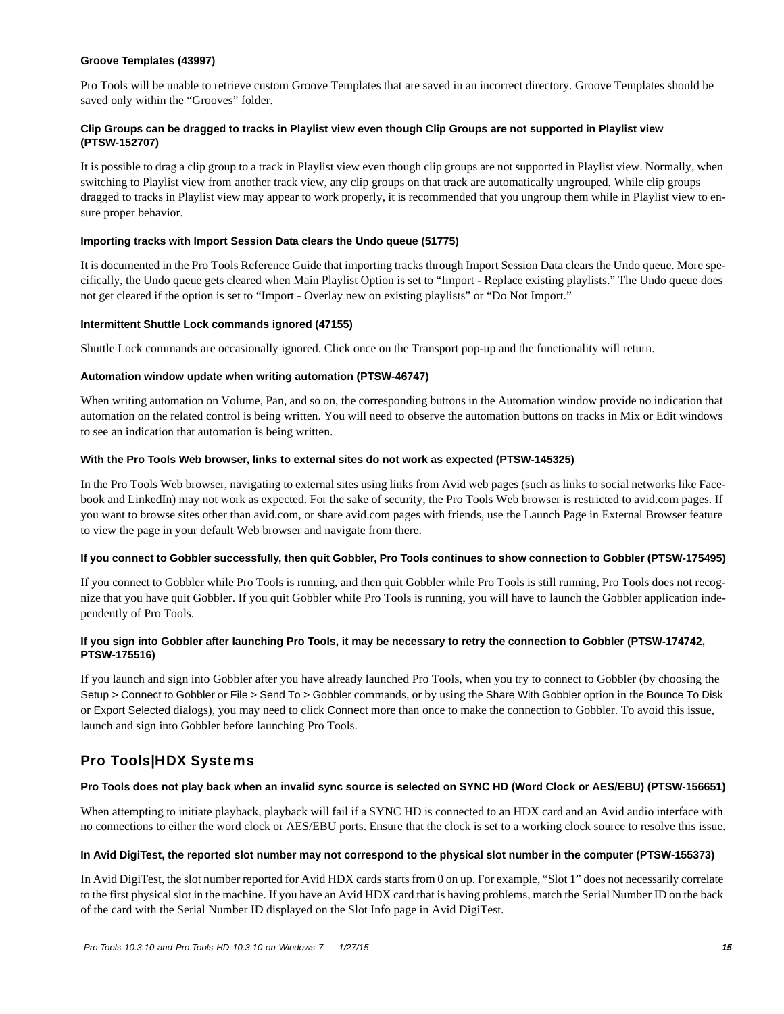#### **Groove Templates (43997)**

Pro Tools will be unable to retrieve custom Groove Templates that are saved in an incorrect directory. Groove Templates should be saved only within the "Grooves" folder.

#### **Clip Groups can be dragged to tracks in Playlist view even though Clip Groups are not supported in Playlist view (PTSW-152707)**

It is possible to drag a clip group to a track in Playlist view even though clip groups are not supported in Playlist view. Normally, when switching to Playlist view from another track view, any clip groups on that track are automatically ungrouped. While clip groups dragged to tracks in Playlist view may appear to work properly, it is recommended that you ungroup them while in Playlist view to ensure proper behavior.

#### **Importing tracks with Import Session Data clears the Undo queue (51775)**

It is documented in the Pro Tools Reference Guide that importing tracks through Import Session Data clears the Undo queue. More specifically, the Undo queue gets cleared when Main Playlist Option is set to "Import - Replace existing playlists." The Undo queue does not get cleared if the option is set to "Import - Overlay new on existing playlists" or "Do Not Import."

#### **Intermittent Shuttle Lock commands ignored (47155)**

Shuttle Lock commands are occasionally ignored. Click once on the Transport pop-up and the functionality will return.

#### **Automation window update when writing automation (PTSW-46747)**

When writing automation on Volume, Pan, and so on, the corresponding buttons in the Automation window provide no indication that automation on the related control is being written. You will need to observe the automation buttons on tracks in Mix or Edit windows to see an indication that automation is being written.

#### **With the Pro Tools Web browser, links to external sites do not work as expected (PTSW-145325)**

In the Pro Tools Web browser, navigating to external sites using links from Avid web pages (such as links to social networks like Facebook and LinkedIn) may not work as expected. For the sake of security, the Pro Tools Web browser is restricted to avid.com pages. If you want to browse sites other than avid.com, or share avid.com pages with friends, use the Launch Page in External Browser feature to view the page in your default Web browser and navigate from there.

#### **If you connect to Gobbler successfully, then quit Gobbler, Pro Tools continues to show connection to Gobbler (PTSW-175495)**

If you connect to Gobbler while Pro Tools is running, and then quit Gobbler while Pro Tools is still running, Pro Tools does not recognize that you have quit Gobbler. If you quit Gobbler while Pro Tools is running, you will have to launch the Gobbler application independently of Pro Tools.

#### **If you sign into Gobbler after launching Pro Tools, it may be necessary to retry the connection to Gobbler (PTSW-174742, PTSW-175516)**

If you launch and sign into Gobbler after you have already launched Pro Tools, when you try to connect to Gobbler (by choosing the Setup > Connect to Gobbler or File > Send To > Gobbler commands, or by using the Share With Gobbler option in the Bounce To Disk or Export Selected dialogs), you may need to click Connect more than once to make the connection to Gobbler. To avoid this issue, launch and sign into Gobbler before launching Pro Tools.

## Pro Tools|HDX Systems

#### **Pro Tools does not play back when an invalid sync source is selected on SYNC HD (Word Clock or AES/EBU) (PTSW-156651)**

When attempting to initiate playback, playback will fail if a SYNC HD is connected to an HDX card and an Avid audio interface with no connections to either the word clock or AES/EBU ports. Ensure that the clock is set to a working clock source to resolve this issue.

#### **In Avid DigiTest, the reported slot number may not correspond to the physical slot number in the computer (PTSW-155373)**

In Avid DigiTest, the slot number reported for Avid HDX cards starts from 0 on up. For example, "Slot 1" does not necessarily correlate to the first physical slot in the machine. If you have an Avid HDX card that is having problems, match the Serial Number ID on the back of the card with the Serial Number ID displayed on the Slot Info page in Avid DigiTest.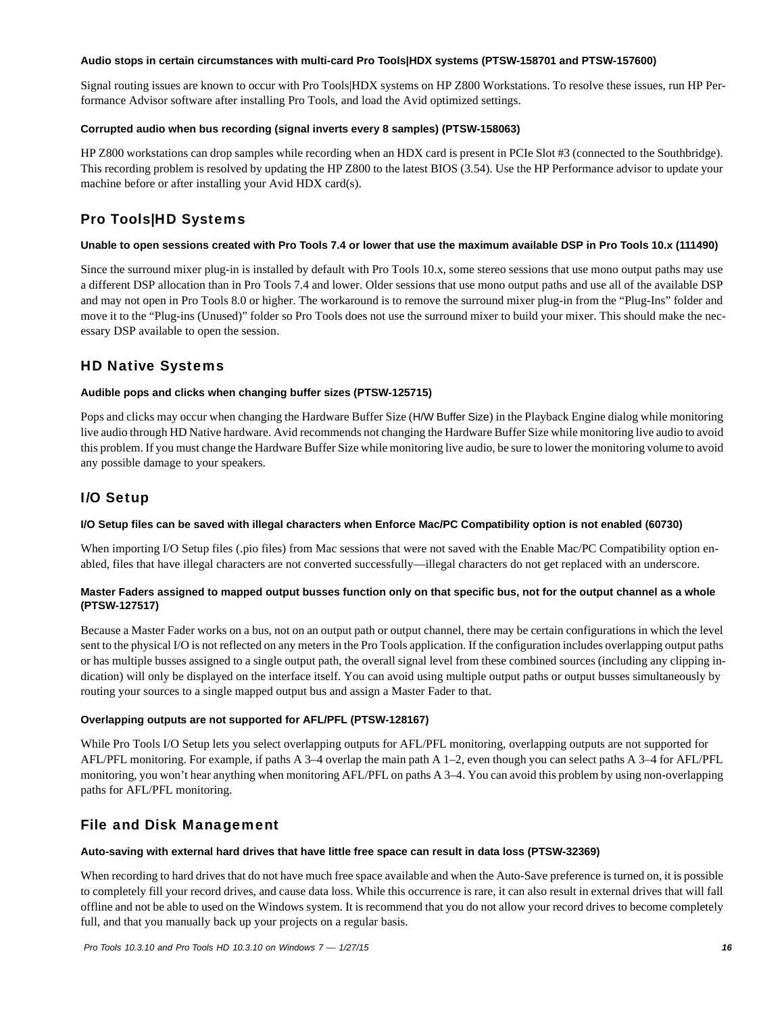#### **Audio stops in certain circumstances with multi-card Pro Tools|HDX systems (PTSW-158701 and PTSW-157600)**

Signal routing issues are known to occur with Pro Tools|HDX systems on HP Z800 Workstations. To resolve these issues, run HP Performance Advisor software after installing Pro Tools, and load the Avid optimized settings.

#### **Corrupted audio when bus recording (signal inverts every 8 samples) (PTSW-158063)**

HP Z800 workstations can drop samples while recording when an HDX card is present in PCIe Slot #3 (connected to the Southbridge). This recording problem is resolved by updating the HP Z800 to the latest BIOS (3.54). Use the HP Performance advisor to update your machine before or after installing your Avid HDX card(s).

## Pro Tools|HD Systems

#### **Unable to open sessions created with Pro Tools 7.4 or lower that use the maximum available DSP in Pro Tools 10.x (111490)**

Since the surround mixer plug-in is installed by default with Pro Tools 10.x, some stereo sessions that use mono output paths may use a different DSP allocation than in Pro Tools 7.4 and lower. Older sessions that use mono output paths and use all of the available DSP and may not open in Pro Tools 8.0 or higher. The workaround is to remove the surround mixer plug-in from the "Plug-Ins" folder and move it to the "Plug-ins (Unused)" folder so Pro Tools does not use the surround mixer to build your mixer. This should make the necessary DSP available to open the session.

## HD Native Systems

#### **Audible pops and clicks when changing buffer sizes (PTSW-125715)**

Pops and clicks may occur when changing the Hardware Buffer Size (H/W Buffer Size) in the Playback Engine dialog while monitoring live audio through HD Native hardware. Avid recommends not changing the Hardware Buffer Size while monitoring live audio to avoid this problem. If you must change the Hardware Buffer Size while monitoring live audio, be sure to lower the monitoring volume to avoid any possible damage to your speakers.

## I/O Setup

#### **I/O Setup files can be saved with illegal characters when Enforce Mac/PC Compatibility option is not enabled (60730)**

When importing I/O Setup files (.pio files) from Mac sessions that were not saved with the Enable Mac/PC Compatibility option enabled, files that have illegal characters are not converted successfully—illegal characters do not get replaced with an underscore.

#### **Master Faders assigned to mapped output busses function only on that specific bus, not for the output channel as a whole (PTSW-127517)**

Because a Master Fader works on a bus, not on an output path or output channel, there may be certain configurations in which the level sent to the physical I/O is not reflected on any meters in the Pro Tools application. If the configuration includes overlapping output paths or has multiple busses assigned to a single output path, the overall signal level from these combined sources (including any clipping indication) will only be displayed on the interface itself. You can avoid using multiple output paths or output busses simultaneously by routing your sources to a single mapped output bus and assign a Master Fader to that.

#### **Overlapping outputs are not supported for AFL/PFL (PTSW-128167)**

While Pro Tools I/O Setup lets you select overlapping outputs for AFL/PFL monitoring, overlapping outputs are not supported for AFL/PFL monitoring. For example, if paths A 3–4 overlap the main path A 1–2, even though you can select paths A 3–4 for AFL/PFL monitoring, you won't hear anything when monitoring AFL/PFL on paths A 3–4. You can avoid this problem by using non-overlapping paths for AFL/PFL monitoring.

## File and Disk Management

#### **Auto-saving with external hard drives that have little free space can result in data loss (PTSW-32369)**

When recording to hard drives that do not have much free space available and when the Auto-Save preference is turned on, it is possible to completely fill your record drives, and cause data loss. While this occurrence is rare, it can also result in external drives that will fall offline and not be able to used on the Windows system. It is recommend that you do not allow your record drives to become completely full, and that you manually back up your projects on a regular basis.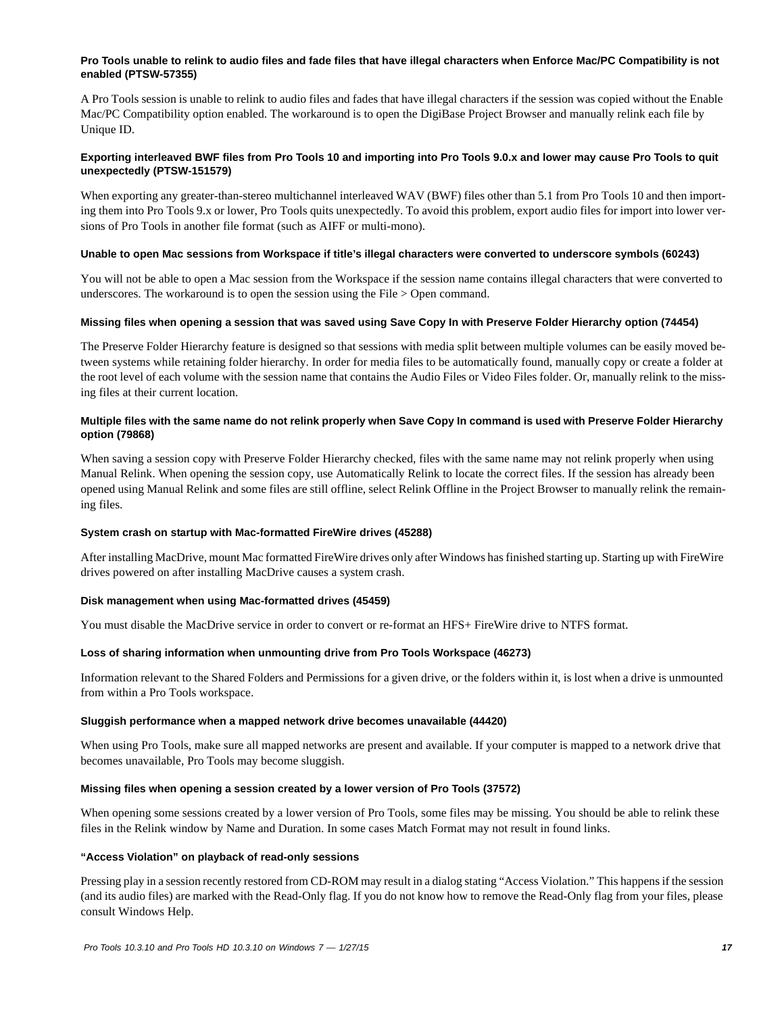#### **Pro Tools unable to relink to audio files and fade files that have illegal characters when Enforce Mac/PC Compatibility is not enabled (PTSW-57355)**

A Pro Tools session is unable to relink to audio files and fades that have illegal characters if the session was copied without the Enable Mac/PC Compatibility option enabled. The workaround is to open the DigiBase Project Browser and manually relink each file by Unique ID.

#### **Exporting interleaved BWF files from Pro Tools 10 and importing into Pro Tools 9.0.x and lower may cause Pro Tools to quit unexpectedly (PTSW-151579)**

When exporting any greater-than-stereo multichannel interleaved WAV (BWF) files other than 5.1 from Pro Tools 10 and then importing them into Pro Tools 9.x or lower, Pro Tools quits unexpectedly. To avoid this problem, export audio files for import into lower versions of Pro Tools in another file format (such as AIFF or multi-mono).

#### **Unable to open Mac sessions from Workspace if title's illegal characters were converted to underscore symbols (60243)**

You will not be able to open a Mac session from the Workspace if the session name contains illegal characters that were converted to underscores. The workaround is to open the session using the File > Open command.

#### **Missing files when opening a session that was saved using Save Copy In with Preserve Folder Hierarchy option (74454)**

The Preserve Folder Hierarchy feature is designed so that sessions with media split between multiple volumes can be easily moved between systems while retaining folder hierarchy. In order for media files to be automatically found, manually copy or create a folder at the root level of each volume with the session name that contains the Audio Files or Video Files folder. Or, manually relink to the missing files at their current location.

#### **Multiple files with the same name do not relink properly when Save Copy In command is used with Preserve Folder Hierarchy option (79868)**

When saving a session copy with Preserve Folder Hierarchy checked, files with the same name may not relink properly when using Manual Relink. When opening the session copy, use Automatically Relink to locate the correct files. If the session has already been opened using Manual Relink and some files are still offline, select Relink Offline in the Project Browser to manually relink the remaining files.

#### **System crash on startup with Mac-formatted FireWire drives (45288)**

After installing MacDrive, mount Mac formatted FireWire drives only after Windows has finished starting up. Starting up with FireWire drives powered on after installing MacDrive causes a system crash.

#### **Disk management when using Mac-formatted drives (45459)**

You must disable the MacDrive service in order to convert or re-format an HFS+ FireWire drive to NTFS format.

#### **Loss of sharing information when unmounting drive from Pro Tools Workspace (46273)**

Information relevant to the Shared Folders and Permissions for a given drive, or the folders within it, is lost when a drive is unmounted from within a Pro Tools workspace.

#### **Sluggish performance when a mapped network drive becomes unavailable (44420)**

When using Pro Tools, make sure all mapped networks are present and available. If your computer is mapped to a network drive that becomes unavailable, Pro Tools may become sluggish.

#### **Missing files when opening a session created by a lower version of Pro Tools (37572)**

When opening some sessions created by a lower version of Pro Tools, some files may be missing. You should be able to relink these files in the Relink window by Name and Duration. In some cases Match Format may not result in found links.

#### **"Access Violation" on playback of read-only sessions**

Pressing play in a session recently restored from CD-ROM may result in a dialog stating "Access Violation." This happens if the session (and its audio files) are marked with the Read-Only flag. If you do not know how to remove the Read-Only flag from your files, please consult Windows Help.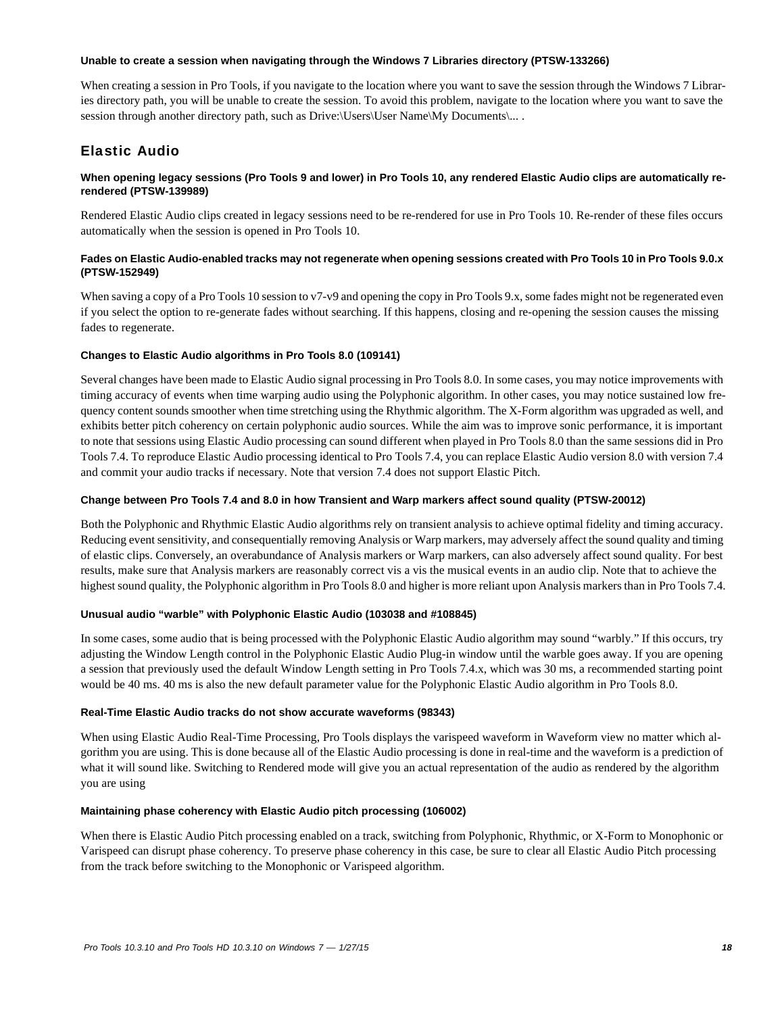#### **Unable to create a session when navigating through the Windows 7 Libraries directory (PTSW-133266)**

When creating a session in Pro Tools, if you navigate to the location where you want to save the session through the Windows 7 Libraries directory path, you will be unable to create the session. To avoid this problem, navigate to the location where you want to save the session through another directory path, such as Drive:\Users\User Name\My Documents\... .

## Elastic Audio

#### **When opening legacy sessions (Pro Tools 9 and lower) in Pro Tools 10, any rendered Elastic Audio clips are automatically rerendered (PTSW-139989)**

Rendered Elastic Audio clips created in legacy sessions need to be re-rendered for use in Pro Tools 10. Re-render of these files occurs automatically when the session is opened in Pro Tools 10.

#### **Fades on Elastic Audio-enabled tracks may not regenerate when opening sessions created with Pro Tools 10 in Pro Tools 9.0.x (PTSW-152949)**

When saving a copy of a Pro Tools 10 session to v7-v9 and opening the copy in Pro Tools 9.x, some fades might not be regenerated even if you select the option to re-generate fades without searching. If this happens, closing and re-opening the session causes the missing fades to regenerate.

#### **Changes to Elastic Audio algorithms in Pro Tools 8.0 (109141)**

Several changes have been made to Elastic Audio signal processing in Pro Tools 8.0. In some cases, you may notice improvements with timing accuracy of events when time warping audio using the Polyphonic algorithm. In other cases, you may notice sustained low frequency content sounds smoother when time stretching using the Rhythmic algorithm. The X-Form algorithm was upgraded as well, and exhibits better pitch coherency on certain polyphonic audio sources. While the aim was to improve sonic performance, it is important to note that sessions using Elastic Audio processing can sound different when played in Pro Tools 8.0 than the same sessions did in Pro Tools 7.4. To reproduce Elastic Audio processing identical to Pro Tools 7.4, you can replace Elastic Audio version 8.0 with version 7.4 and commit your audio tracks if necessary. Note that version 7.4 does not support Elastic Pitch.

#### **Change between Pro Tools 7.4 and 8.0 in how Transient and Warp markers affect sound quality (PTSW-20012)**

Both the Polyphonic and Rhythmic Elastic Audio algorithms rely on transient analysis to achieve optimal fidelity and timing accuracy. Reducing event sensitivity, and consequentially removing Analysis or Warp markers, may adversely affect the sound quality and timing of elastic clips. Conversely, an overabundance of Analysis markers or Warp markers, can also adversely affect sound quality. For best results, make sure that Analysis markers are reasonably correct vis a vis the musical events in an audio clip. Note that to achieve the highest sound quality, the Polyphonic algorithm in Pro Tools 8.0 and higher is more reliant upon Analysis markers than in Pro Tools 7.4.

#### **Unusual audio "warble" with Polyphonic Elastic Audio (103038 and #108845)**

In some cases, some audio that is being processed with the Polyphonic Elastic Audio algorithm may sound "warbly." If this occurs, try adjusting the Window Length control in the Polyphonic Elastic Audio Plug-in window until the warble goes away. If you are opening a session that previously used the default Window Length setting in Pro Tools 7.4.x, which was 30 ms, a recommended starting point would be 40 ms. 40 ms is also the new default parameter value for the Polyphonic Elastic Audio algorithm in Pro Tools 8.0.

#### **Real-Time Elastic Audio tracks do not show accurate waveforms (98343)**

When using Elastic Audio Real-Time Processing, Pro Tools displays the varispeed waveform in Waveform view no matter which algorithm you are using. This is done because all of the Elastic Audio processing is done in real-time and the waveform is a prediction of what it will sound like. Switching to Rendered mode will give you an actual representation of the audio as rendered by the algorithm you are using

#### **Maintaining phase coherency with Elastic Audio pitch processing (106002)**

When there is Elastic Audio Pitch processing enabled on a track, switching from Polyphonic, Rhythmic, or X-Form to Monophonic or Varispeed can disrupt phase coherency. To preserve phase coherency in this case, be sure to clear all Elastic Audio Pitch processing from the track before switching to the Monophonic or Varispeed algorithm.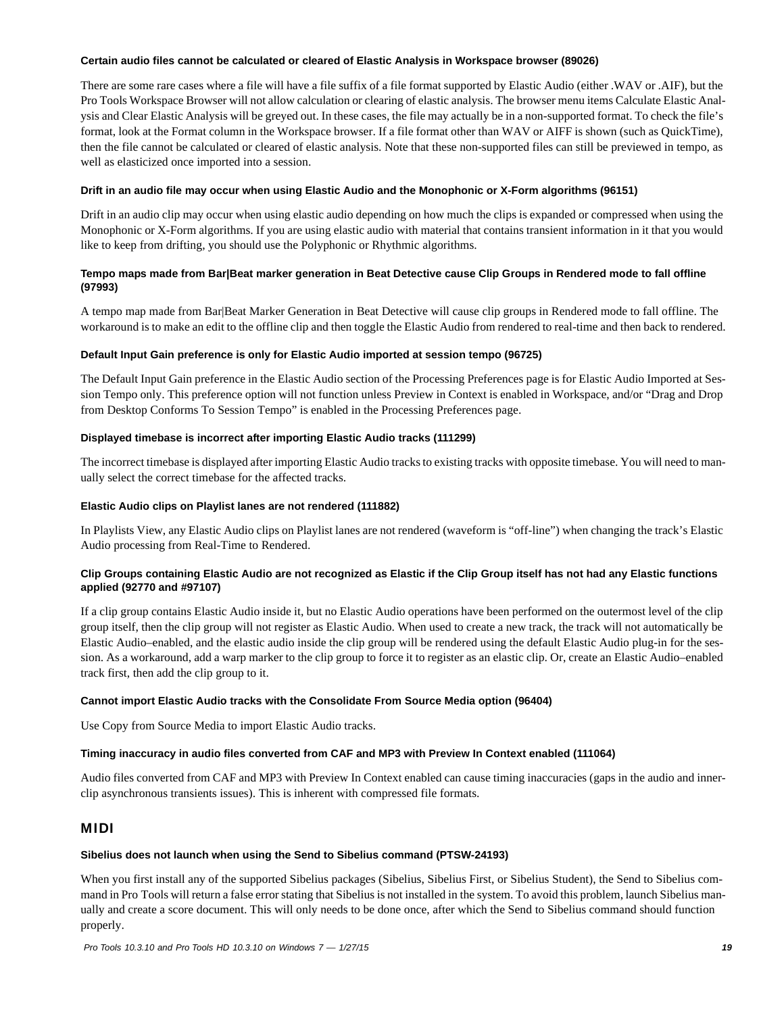#### **Certain audio files cannot be calculated or cleared of Elastic Analysis in Workspace browser (89026)**

There are some rare cases where a file will have a file suffix of a file format supported by Elastic Audio (either .WAV or .AIF), but the Pro Tools Workspace Browser will not allow calculation or clearing of elastic analysis. The browser menu items Calculate Elastic Analysis and Clear Elastic Analysis will be greyed out. In these cases, the file may actually be in a non-supported format. To check the file's format, look at the Format column in the Workspace browser. If a file format other than WAV or AIFF is shown (such as QuickTime), then the file cannot be calculated or cleared of elastic analysis. Note that these non-supported files can still be previewed in tempo, as well as elasticized once imported into a session.

#### **Drift in an audio file may occur when using Elastic Audio and the Monophonic or X-Form algorithms (96151)**

Drift in an audio clip may occur when using elastic audio depending on how much the clips is expanded or compressed when using the Monophonic or X-Form algorithms. If you are using elastic audio with material that contains transient information in it that you would like to keep from drifting, you should use the Polyphonic or Rhythmic algorithms.

#### **Tempo maps made from Bar|Beat marker generation in Beat Detective cause Clip Groups in Rendered mode to fall offline (97993)**

A tempo map made from Bar|Beat Marker Generation in Beat Detective will cause clip groups in Rendered mode to fall offline. The workaround is to make an edit to the offline clip and then toggle the Elastic Audio from rendered to real-time and then back to rendered.

#### **Default Input Gain preference is only for Elastic Audio imported at session tempo (96725)**

The Default Input Gain preference in the Elastic Audio section of the Processing Preferences page is for Elastic Audio Imported at Session Tempo only. This preference option will not function unless Preview in Context is enabled in Workspace, and/or "Drag and Drop from Desktop Conforms To Session Tempo" is enabled in the Processing Preferences page.

#### **Displayed timebase is incorrect after importing Elastic Audio tracks (111299)**

The incorrect timebase is displayed after importing Elastic Audio tracks to existing tracks with opposite timebase. You will need to manually select the correct timebase for the affected tracks.

#### **Elastic Audio clips on Playlist lanes are not rendered (111882)**

In Playlists View, any Elastic Audio clips on Playlist lanes are not rendered (waveform is "off-line") when changing the track's Elastic Audio processing from Real-Time to Rendered.

#### **Clip Groups containing Elastic Audio are not recognized as Elastic if the Clip Group itself has not had any Elastic functions applied (92770 and #97107)**

If a clip group contains Elastic Audio inside it, but no Elastic Audio operations have been performed on the outermost level of the clip group itself, then the clip group will not register as Elastic Audio. When used to create a new track, the track will not automatically be Elastic Audio–enabled, and the elastic audio inside the clip group will be rendered using the default Elastic Audio plug-in for the session. As a workaround, add a warp marker to the clip group to force it to register as an elastic clip. Or, create an Elastic Audio–enabled track first, then add the clip group to it.

#### **Cannot import Elastic Audio tracks with the Consolidate From Source Media option (96404)**

Use Copy from Source Media to import Elastic Audio tracks.

#### **Timing inaccuracy in audio files converted from CAF and MP3 with Preview In Context enabled (111064)**

Audio files converted from CAF and MP3 with Preview In Context enabled can cause timing inaccuracies (gaps in the audio and innerclip asynchronous transients issues). This is inherent with compressed file formats.

### MIDI

#### **Sibelius does not launch when using the Send to Sibelius command (PTSW-24193)**

When you first install any of the supported Sibelius packages (Sibelius, Sibelius First, or Sibelius Student), the Send to Sibelius command in Pro Tools will return a false error stating that Sibelius is not installed in the system. To avoid this problem, launch Sibelius manually and create a score document. This will only needs to be done once, after which the Send to Sibelius command should function properly.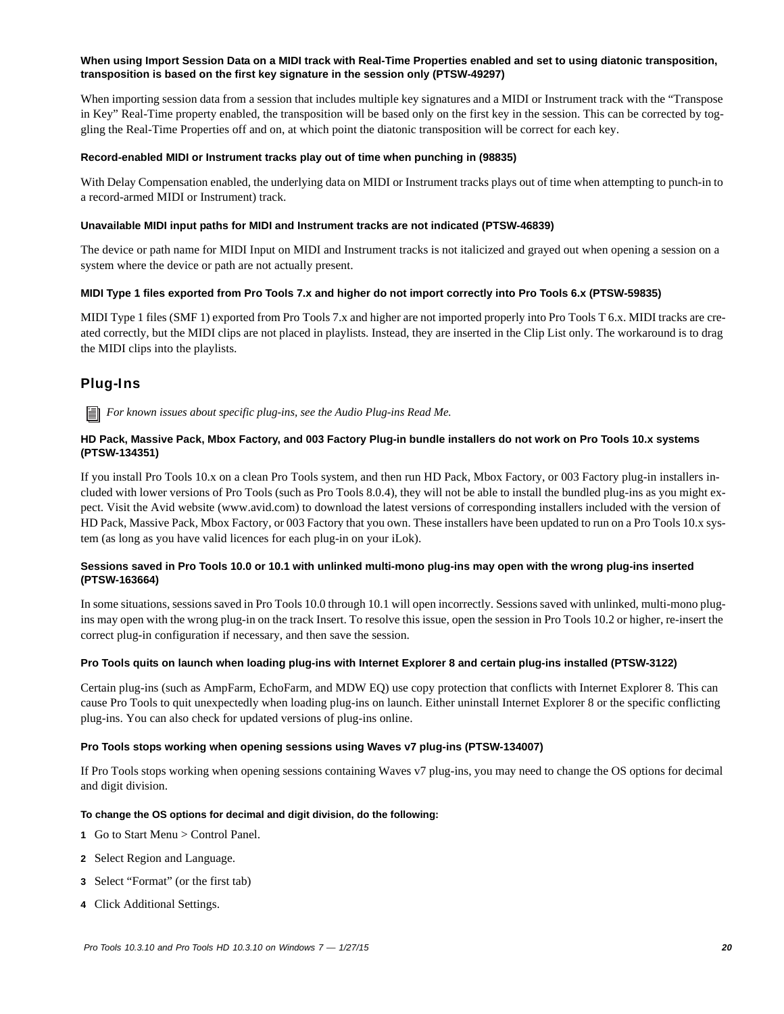#### **When using Import Session Data on a MIDI track with Real-Time Properties enabled and set to using diatonic transposition, transposition is based on the first key signature in the session only (PTSW-49297)**

When importing session data from a session that includes multiple key signatures and a MIDI or Instrument track with the "Transpose in Key" Real-Time property enabled, the transposition will be based only on the first key in the session. This can be corrected by toggling the Real-Time Properties off and on, at which point the diatonic transposition will be correct for each key.

#### **Record-enabled MIDI or Instrument tracks play out of time when punching in (98835)**

With Delay Compensation enabled, the underlying data on MIDI or Instrument tracks plays out of time when attempting to punch-in to a record-armed MIDI or Instrument) track.

#### **Unavailable MIDI input paths for MIDI and Instrument tracks are not indicated (PTSW-46839)**

The device or path name for MIDI Input on MIDI and Instrument tracks is not italicized and grayed out when opening a session on a system where the device or path are not actually present.

#### **MIDI Type 1 files exported from Pro Tools 7.x and higher do not import correctly into Pro Tools 6.x (PTSW-59835)**

MIDI Type 1 files (SMF 1) exported from Pro Tools 7.x and higher are not imported properly into Pro Tools T 6.x. MIDI tracks are created correctly, but the MIDI clips are not placed in playlists. Instead, they are inserted in the Clip List only. The workaround is to drag the MIDI clips into the playlists.

## Plug-Ins

H *For known issues about specific plug-ins, see the Audio Plug-ins Read Me.*

#### **HD Pack, Massive Pack, Mbox Factory, and 003 Factory Plug-in bundle installers do not work on Pro Tools 10.x systems (PTSW-134351)**

If you install Pro Tools 10.x on a clean Pro Tools system, and then run HD Pack, Mbox Factory, or 003 Factory plug-in installers included with lower versions of Pro Tools (such as Pro Tools 8.0.4), they will not be able to install the bundled plug-ins as you might expect. Visit the Avid website (www.avid.com) to download the latest versions of corresponding installers included with the version of HD Pack, Massive Pack, Mbox Factory, or 003 Factory that you own. These installers have been updated to run on a Pro Tools 10.x system (as long as you have valid licences for each plug-in on your iLok).

#### **Sessions saved in Pro Tools 10.0 or 10.1 with unlinked multi-mono plug-ins may open with the wrong plug-ins inserted (PTSW-163664)**

In some situations, sessions saved in Pro Tools 10.0 through 10.1 will open incorrectly. Sessions saved with unlinked, multi-mono plugins may open with the wrong plug-in on the track Insert. To resolve this issue, open the session in Pro Tools 10.2 or higher, re-insert the correct plug-in configuration if necessary, and then save the session.

#### **Pro Tools quits on launch when loading plug-ins with Internet Explorer 8 and certain plug-ins installed (PTSW-3122)**

Certain plug-ins (such as AmpFarm, EchoFarm, and MDW EQ) use copy protection that conflicts with Internet Explorer 8. This can cause Pro Tools to quit unexpectedly when loading plug-ins on launch. Either uninstall Internet Explorer 8 or the specific conflicting plug-ins. You can also check for updated versions of plug-ins online.

#### **Pro Tools stops working when opening sessions using Waves v7 plug-ins (PTSW-134007)**

If Pro Tools stops working when opening sessions containing Waves v7 plug-ins, you may need to change the OS options for decimal and digit division.

#### **To change the OS options for decimal and digit division, do the following:**

- **1** Go to Start Menu > Control Panel.
- **2** Select Region and Language.
- **3** Select "Format" (or the first tab)
- **4** Click Additional Settings.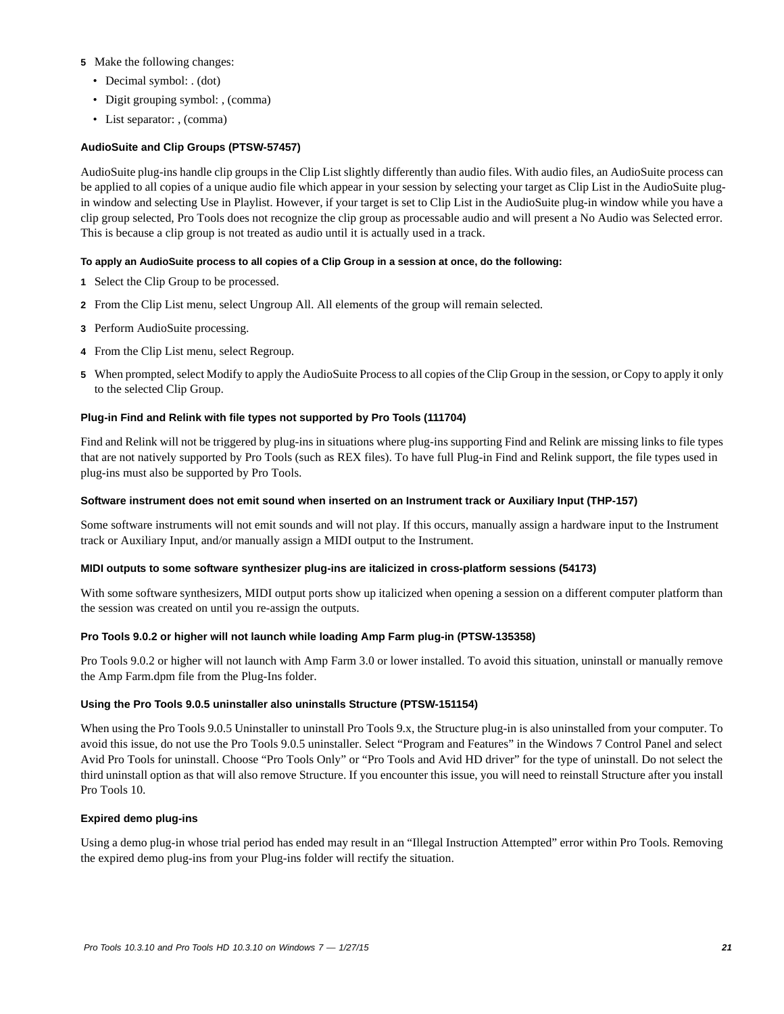#### **5** Make the following changes:

- Decimal symbol: . (dot)
- Digit grouping symbol: , (comma)
- List separator: , (comma)

#### **AudioSuite and Clip Groups (PTSW-57457)**

AudioSuite plug-ins handle clip groups in the Clip List slightly differently than audio files. With audio files, an AudioSuite process can be applied to all copies of a unique audio file which appear in your session by selecting your target as Clip List in the AudioSuite plugin window and selecting Use in Playlist. However, if your target is set to Clip List in the AudioSuite plug-in window while you have a clip group selected, Pro Tools does not recognize the clip group as processable audio and will present a No Audio was Selected error. This is because a clip group is not treated as audio until it is actually used in a track.

#### **To apply an AudioSuite process to all copies of a Clip Group in a session at once, do the following:**

- **1** Select the Clip Group to be processed.
- **2** From the Clip List menu, select Ungroup All. All elements of the group will remain selected.
- **3** Perform AudioSuite processing.
- **4** From the Clip List menu, select Regroup.
- **5** When prompted, select Modify to apply the AudioSuite Process to all copies of the Clip Group in the session, or Copy to apply it only to the selected Clip Group.

#### **Plug-in Find and Relink with file types not supported by Pro Tools (111704)**

Find and Relink will not be triggered by plug-ins in situations where plug-ins supporting Find and Relink are missing links to file types that are not natively supported by Pro Tools (such as REX files). To have full Plug-in Find and Relink support, the file types used in plug-ins must also be supported by Pro Tools.

#### **Software instrument does not emit sound when inserted on an Instrument track or Auxiliary Input (THP-157)**

Some software instruments will not emit sounds and will not play. If this occurs, manually assign a hardware input to the Instrument track or Auxiliary Input, and/or manually assign a MIDI output to the Instrument.

#### **MIDI outputs to some software synthesizer plug-ins are italicized in cross-platform sessions (54173)**

With some software synthesizers, MIDI output ports show up italicized when opening a session on a different computer platform than the session was created on until you re-assign the outputs.

#### **Pro Tools 9.0.2 or higher will not launch while loading Amp Farm plug-in (PTSW-135358)**

Pro Tools 9.0.2 or higher will not launch with Amp Farm 3.0 or lower installed. To avoid this situation, uninstall or manually remove the Amp Farm.dpm file from the Plug-Ins folder.

#### **Using the Pro Tools 9.0.5 uninstaller also uninstalls Structure (PTSW-151154)**

When using the Pro Tools 9.0.5 Uninstaller to uninstall Pro Tools 9.x, the Structure plug-in is also uninstalled from your computer. To avoid this issue, do not use the Pro Tools 9.0.5 uninstaller. Select "Program and Features" in the Windows 7 Control Panel and select Avid Pro Tools for uninstall. Choose "Pro Tools Only" or "Pro Tools and Avid HD driver" for the type of uninstall. Do not select the third uninstall option as that will also remove Structure. If you encounter this issue, you will need to reinstall Structure after you install Pro Tools 10.

#### **Expired demo plug-ins**

Using a demo plug-in whose trial period has ended may result in an "Illegal Instruction Attempted" error within Pro Tools. Removing the expired demo plug-ins from your Plug-ins folder will rectify the situation.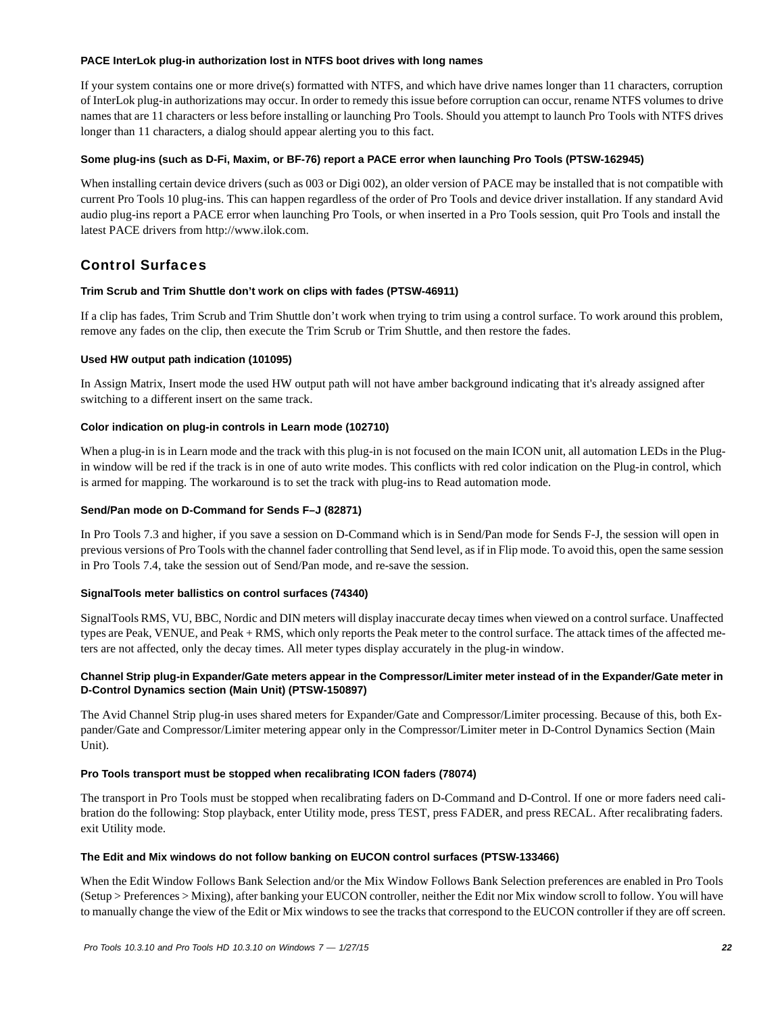#### **PACE InterLok plug-in authorization lost in NTFS boot drives with long names**

If your system contains one or more drive(s) formatted with NTFS, and which have drive names longer than 11 characters, corruption of InterLok plug-in authorizations may occur. In order to remedy this issue before corruption can occur, rename NTFS volumes to drive names that are 11 characters or less before installing or launching Pro Tools. Should you attempt to launch Pro Tools with NTFS drives longer than 11 characters, a dialog should appear alerting you to this fact.

#### **Some plug-ins (such as D-Fi, Maxim, or BF-76) report a PACE error when launching Pro Tools (PTSW-162945)**

When installing certain device drivers (such as 003 or Digi 002), an older version of PACE may be installed that is not compatible with current Pro Tools 10 plug-ins. This can happen regardless of the order of Pro Tools and device driver installation. If any standard Avid audio plug-ins report a PACE error when launching Pro Tools, or when inserted in a Pro Tools session, quit Pro Tools and install the latest PACE drivers from http://www.ilok.com.

## Control Surfaces

#### **Trim Scrub and Trim Shuttle don't work on clips with fades (PTSW-46911)**

If a clip has fades, Trim Scrub and Trim Shuttle don't work when trying to trim using a control surface. To work around this problem, remove any fades on the clip, then execute the Trim Scrub or Trim Shuttle, and then restore the fades.

#### **Used HW output path indication (101095)**

In Assign Matrix, Insert mode the used HW output path will not have amber background indicating that it's already assigned after switching to a different insert on the same track.

#### **Color indication on plug-in controls in Learn mode (102710)**

When a plug-in is in Learn mode and the track with this plug-in is not focused on the main ICON unit, all automation LEDs in the Plugin window will be red if the track is in one of auto write modes. This conflicts with red color indication on the Plug-in control, which is armed for mapping. The workaround is to set the track with plug-ins to Read automation mode.

#### **Send/Pan mode on D-Command for Sends F–J (82871)**

In Pro Tools 7.3 and higher, if you save a session on D-Command which is in Send/Pan mode for Sends F-J, the session will open in previous versions of Pro Tools with the channel fader controlling that Send level, as if in Flip mode. To avoid this, open the same session in Pro Tools 7.4, take the session out of Send/Pan mode, and re-save the session.

#### **SignalTools meter ballistics on control surfaces (74340)**

SignalTools RMS, VU, BBC, Nordic and DIN meters will display inaccurate decay times when viewed on a control surface. Unaffected types are Peak, VENUE, and Peak + RMS, which only reports the Peak meter to the control surface. The attack times of the affected meters are not affected, only the decay times. All meter types display accurately in the plug-in window.

#### **Channel Strip plug-in Expander/Gate meters appear in the Compressor/Limiter meter instead of in the Expander/Gate meter in D-Control Dynamics section (Main Unit) (PTSW-150897)**

The Avid Channel Strip plug-in uses shared meters for Expander/Gate and Compressor/Limiter processing. Because of this, both Expander/Gate and Compressor/Limiter metering appear only in the Compressor/Limiter meter in D-Control Dynamics Section (Main Unit).

#### **Pro Tools transport must be stopped when recalibrating ICON faders (78074)**

The transport in Pro Tools must be stopped when recalibrating faders on D-Command and D-Control. If one or more faders need calibration do the following: Stop playback, enter Utility mode, press TEST, press FADER, and press RECAL. After recalibrating faders. exit Utility mode.

#### **The Edit and Mix windows do not follow banking on EUCON control surfaces (PTSW-133466)**

When the Edit Window Follows Bank Selection and/or the Mix Window Follows Bank Selection preferences are enabled in Pro Tools (Setup > Preferences > Mixing), after banking your EUCON controller, neither the Edit nor Mix window scroll to follow. You will have to manually change the view of the Edit or Mix windows to see the tracks that correspond to the EUCON controller if they are off screen.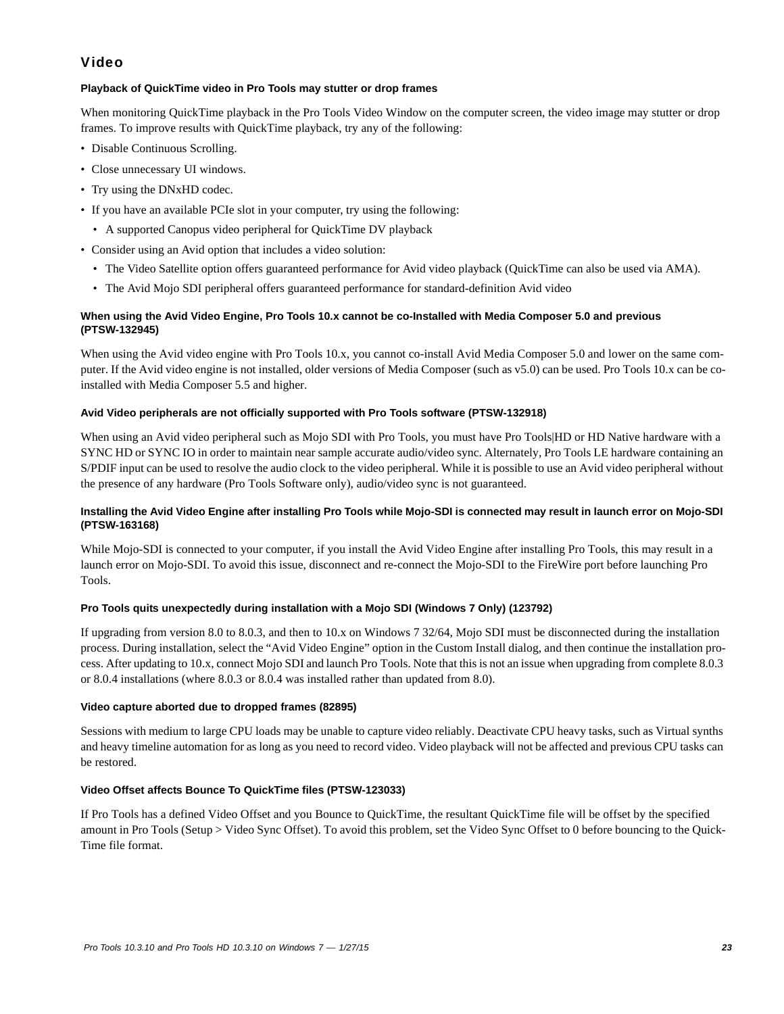## Video

#### **Playback of QuickTime video in Pro Tools may stutter or drop frames**

When monitoring QuickTime playback in the Pro Tools Video Window on the computer screen, the video image may stutter or drop frames. To improve results with QuickTime playback, try any of the following:

- Disable Continuous Scrolling.
- Close unnecessary UI windows.
- Try using the DNxHD codec.
- If you have an available PCIe slot in your computer, try using the following:
- A supported Canopus video peripheral for QuickTime DV playback
- Consider using an Avid option that includes a video solution:
	- The Video Satellite option offers guaranteed performance for Avid video playback (QuickTime can also be used via AMA).
	- The Avid Mojo SDI peripheral offers guaranteed performance for standard-definition Avid video

#### **When using the Avid Video Engine, Pro Tools 10.x cannot be co-Installed with Media Composer 5.0 and previous (PTSW-132945)**

When using the Avid video engine with Pro Tools 10.x, you cannot co-install Avid Media Composer 5.0 and lower on the same computer. If the Avid video engine is not installed, older versions of Media Composer (such as v5.0) can be used. Pro Tools 10.x can be coinstalled with Media Composer 5.5 and higher.

#### **Avid Video peripherals are not officially supported with Pro Tools software (PTSW-132918)**

When using an Avid video peripheral such as Mojo SDI with Pro Tools, you must have Pro Tools|HD or HD Native hardware with a SYNC HD or SYNC IO in order to maintain near sample accurate audio/video sync. Alternately, Pro Tools LE hardware containing an S/PDIF input can be used to resolve the audio clock to the video peripheral. While it is possible to use an Avid video peripheral without the presence of any hardware (Pro Tools Software only), audio/video sync is not guaranteed.

#### **Installing the Avid Video Engine after installing Pro Tools while Mojo-SDI is connected may result in launch error on Mojo-SDI (PTSW-163168)**

While Mojo-SDI is connected to your computer, if you install the Avid Video Engine after installing Pro Tools, this may result in a launch error on Mojo-SDI. To avoid this issue, disconnect and re-connect the Mojo-SDI to the FireWire port before launching Pro Tools.

#### **Pro Tools quits unexpectedly during installation with a Mojo SDI (Windows 7 Only) (123792)**

If upgrading from version 8.0 to 8.0.3, and then to 10.x on Windows 7 32/64, Mojo SDI must be disconnected during the installation process. During installation, select the "Avid Video Engine" option in the Custom Install dialog, and then continue the installation process. After updating to 10.x, connect Mojo SDI and launch Pro Tools. Note that this is not an issue when upgrading from complete 8.0.3 or 8.0.4 installations (where 8.0.3 or 8.0.4 was installed rather than updated from 8.0).

#### **Video capture aborted due to dropped frames (82895)**

Sessions with medium to large CPU loads may be unable to capture video reliably. Deactivate CPU heavy tasks, such as Virtual synths and heavy timeline automation for as long as you need to record video. Video playback will not be affected and previous CPU tasks can be restored.

#### **Video Offset affects Bounce To QuickTime files (PTSW-123033)**

If Pro Tools has a defined Video Offset and you Bounce to QuickTime, the resultant QuickTime file will be offset by the specified amount in Pro Tools (Setup > Video Sync Offset). To avoid this problem, set the Video Sync Offset to 0 before bouncing to the Quick-Time file format.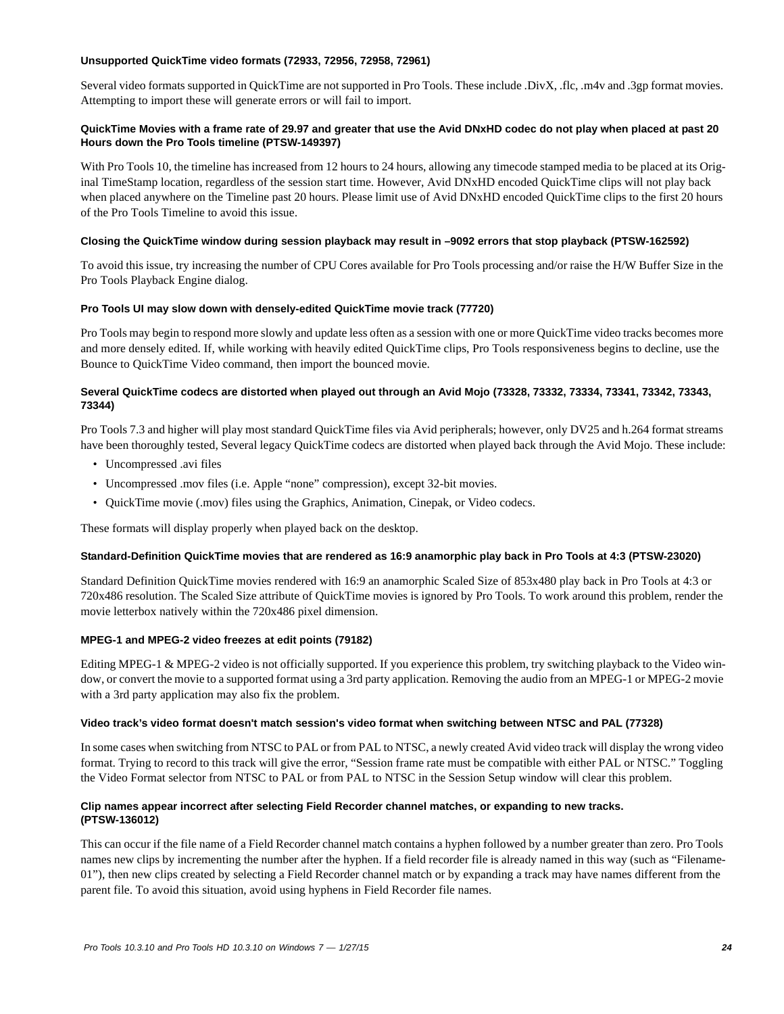#### **Unsupported QuickTime video formats (72933, 72956, 72958, 72961)**

Several video formats supported in QuickTime are not supported in Pro Tools. These include .DivX, .flc, .m4v and .3gp format movies. Attempting to import these will generate errors or will fail to import.

#### **QuickTime Movies with a frame rate of 29.97 and greater that use the Avid DNxHD codec do not play when placed at past 20 Hours down the Pro Tools timeline (PTSW-149397)**

With Pro Tools 10, the timeline has increased from 12 hours to 24 hours, allowing any timecode stamped media to be placed at its Original TimeStamp location, regardless of the session start time. However, Avid DNxHD encoded QuickTime clips will not play back when placed anywhere on the Timeline past 20 hours. Please limit use of Avid DNxHD encoded QuickTime clips to the first 20 hours of the Pro Tools Timeline to avoid this issue.

#### **Closing the QuickTime window during session playback may result in –9092 errors that stop playback (PTSW-162592)**

To avoid this issue, try increasing the number of CPU Cores available for Pro Tools processing and/or raise the H/W Buffer Size in the Pro Tools Playback Engine dialog.

#### **Pro Tools UI may slow down with densely-edited QuickTime movie track (77720)**

Pro Tools may begin to respond more slowly and update less often as a session with one or more QuickTime video tracks becomes more and more densely edited. If, while working with heavily edited QuickTime clips, Pro Tools responsiveness begins to decline, use the Bounce to QuickTime Video command, then import the bounced movie.

#### **Several QuickTime codecs are distorted when played out through an Avid Mojo (73328, 73332, 73334, 73341, 73342, 73343, 73344)**

Pro Tools 7.3 and higher will play most standard QuickTime files via Avid peripherals; however, only DV25 and h.264 format streams have been thoroughly tested, Several legacy QuickTime codecs are distorted when played back through the Avid Mojo. These include:

- Uncompressed .avi files
- Uncompressed .mov files (i.e. Apple "none" compression), except 32-bit movies.
- QuickTime movie (.mov) files using the Graphics, Animation, Cinepak, or Video codecs.

These formats will display properly when played back on the desktop.

#### **Standard-Definition QuickTime movies that are rendered as 16:9 anamorphic play back in Pro Tools at 4:3 (PTSW-23020)**

Standard Definition QuickTime movies rendered with 16:9 an anamorphic Scaled Size of 853x480 play back in Pro Tools at 4:3 or 720x486 resolution. The Scaled Size attribute of QuickTime movies is ignored by Pro Tools. To work around this problem, render the movie letterbox natively within the 720x486 pixel dimension.

#### **MPEG-1 and MPEG-2 video freezes at edit points (79182)**

Editing MPEG-1 & MPEG-2 video is not officially supported. If you experience this problem, try switching playback to the Video window, or convert the movie to a supported format using a 3rd party application. Removing the audio from an MPEG-1 or MPEG-2 movie with a 3rd party application may also fix the problem.

#### **Video track's video format doesn't match session's video format when switching between NTSC and PAL (77328)**

In some cases when switching from NTSC to PAL or from PAL to NTSC, a newly created Avid video track will display the wrong video format. Trying to record to this track will give the error, "Session frame rate must be compatible with either PAL or NTSC." Toggling the Video Format selector from NTSC to PAL or from PAL to NTSC in the Session Setup window will clear this problem.

#### **Clip names appear incorrect after selecting Field Recorder channel matches, or expanding to new tracks. (PTSW-136012)**

This can occur if the file name of a Field Recorder channel match contains a hyphen followed by a number greater than zero. Pro Tools names new clips by incrementing the number after the hyphen. If a field recorder file is already named in this way (such as "Filename-01"), then new clips created by selecting a Field Recorder channel match or by expanding a track may have names different from the parent file. To avoid this situation, avoid using hyphens in Field Recorder file names.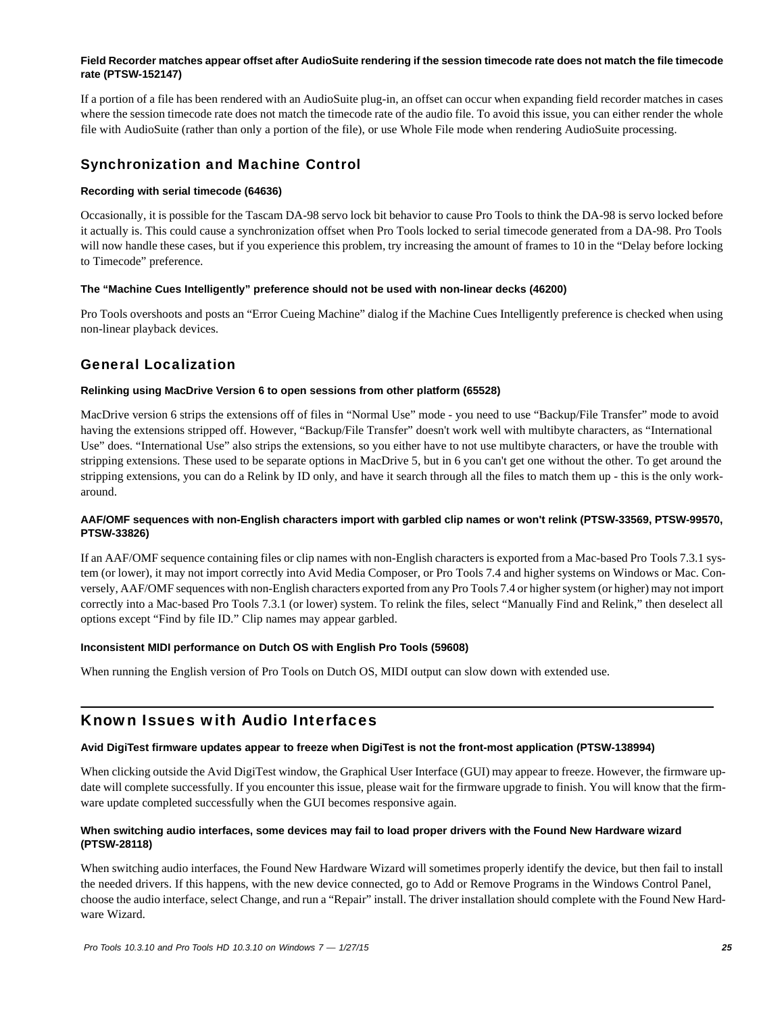#### **Field Recorder matches appear offset after AudioSuite rendering if the session timecode rate does not match the file timecode rate (PTSW-152147)**

If a portion of a file has been rendered with an AudioSuite plug-in, an offset can occur when expanding field recorder matches in cases where the session timecode rate does not match the timecode rate of the audio file. To avoid this issue, you can either render the whole file with AudioSuite (rather than only a portion of the file), or use Whole File mode when rendering AudioSuite processing.

## Synchronization and Machine Control

#### **Recording with serial timecode (64636)**

Occasionally, it is possible for the Tascam DA-98 servo lock bit behavior to cause Pro Tools to think the DA-98 is servo locked before it actually is. This could cause a synchronization offset when Pro Tools locked to serial timecode generated from a DA-98. Pro Tools will now handle these cases, but if you experience this problem, try increasing the amount of frames to 10 in the "Delay before locking to Timecode" preference.

#### **The "Machine Cues Intelligently" preference should not be used with non-linear decks (46200)**

Pro Tools overshoots and posts an "Error Cueing Machine" dialog if the Machine Cues Intelligently preference is checked when using non-linear playback devices.

## General Localization

#### **Relinking using MacDrive Version 6 to open sessions from other platform (65528)**

MacDrive version 6 strips the extensions off of files in "Normal Use" mode - you need to use "Backup/File Transfer" mode to avoid having the extensions stripped off. However, "Backup/File Transfer" doesn't work well with multibyte characters, as "International Use" does. "International Use" also strips the extensions, so you either have to not use multibyte characters, or have the trouble with stripping extensions. These used to be separate options in MacDrive 5, but in 6 you can't get one without the other. To get around the stripping extensions, you can do a Relink by ID only, and have it search through all the files to match them up - this is the only workaround.

#### **AAF/OMF sequences with non-English characters import with garbled clip names or won't relink (PTSW-33569, PTSW-99570, PTSW-33826)**

If an AAF/OMF sequence containing files or clip names with non-English characters is exported from a Mac-based Pro Tools 7.3.1 system (or lower), it may not import correctly into Avid Media Composer, or Pro Tools 7.4 and higher systems on Windows or Mac. Conversely, AAF/OMF sequences with non-English characters exported from any Pro Tools 7.4 or higher system (or higher) may not import correctly into a Mac-based Pro Tools 7.3.1 (or lower) system. To relink the files, select "Manually Find and Relink," then deselect all options except "Find by file ID." Clip names may appear garbled.

#### **Inconsistent MIDI performance on Dutch OS with English Pro Tools (59608)**

When running the English version of Pro Tools on Dutch OS, MIDI output can slow down with extended use.

## Known Issues with Audio Interfaces

#### **Avid DigiTest firmware updates appear to freeze when DigiTest is not the front-most application (PTSW-138994)**

When clicking outside the Avid DigiTest window, the Graphical User Interface (GUI) may appear to freeze. However, the firmware update will complete successfully. If you encounter this issue, please wait for the firmware upgrade to finish. You will know that the firmware update completed successfully when the GUI becomes responsive again.

#### **When switching audio interfaces, some devices may fail to load proper drivers with the Found New Hardware wizard (PTSW-28118)**

When switching audio interfaces, the Found New Hardware Wizard will sometimes properly identify the device, but then fail to install the needed drivers. If this happens, with the new device connected, go to Add or Remove Programs in the Windows Control Panel, choose the audio interface, select Change, and run a "Repair" install. The driver installation should complete with the Found New Hardware Wizard.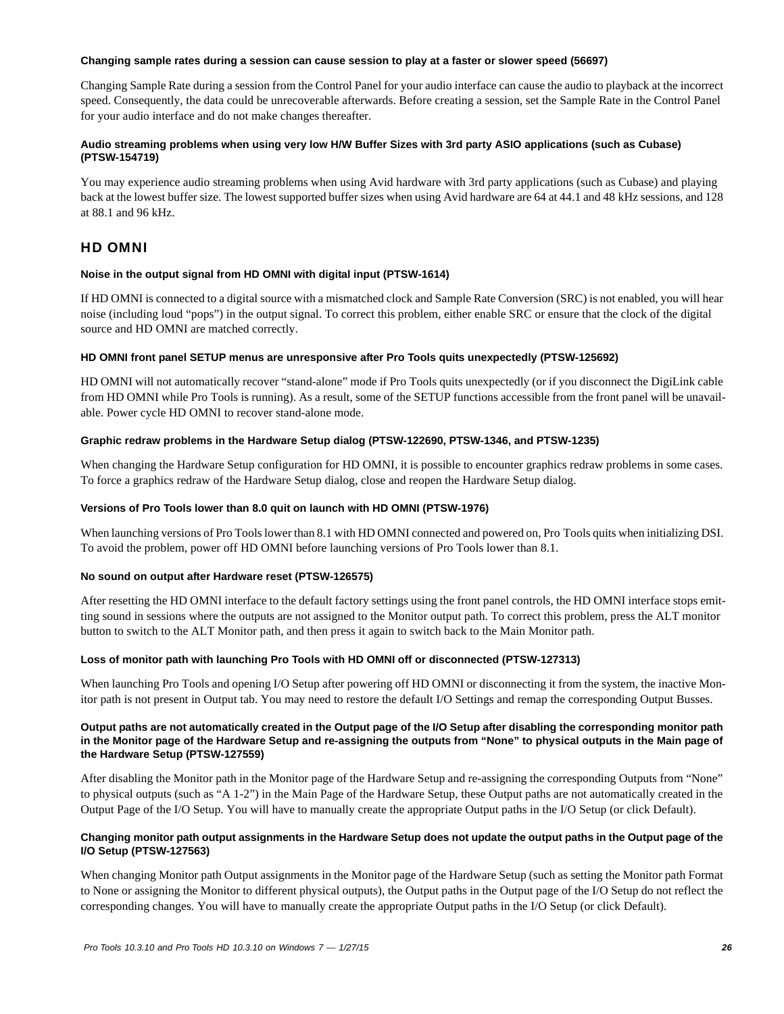#### **Changing sample rates during a session can cause session to play at a faster or slower speed (56697)**

Changing Sample Rate during a session from the Control Panel for your audio interface can cause the audio to playback at the incorrect speed. Consequently, the data could be unrecoverable afterwards. Before creating a session, set the Sample Rate in the Control Panel for your audio interface and do not make changes thereafter.

#### **Audio streaming problems when using very low H/W Buffer Sizes with 3rd party ASIO applications (such as Cubase) (PTSW-154719)**

You may experience audio streaming problems when using Avid hardware with 3rd party applications (such as Cubase) and playing back at the lowest buffer size. The lowest supported buffer sizes when using Avid hardware are 64 at 44.1 and 48 kHz sessions, and 128 at 88.1 and 96 kHz.

## HD OMNI

#### **Noise in the output signal from HD OMNI with digital input (PTSW-1614)**

If HD OMNI is connected to a digital source with a mismatched clock and Sample Rate Conversion (SRC) is not enabled, you will hear noise (including loud "pops") in the output signal. To correct this problem, either enable SRC or ensure that the clock of the digital source and HD OMNI are matched correctly.

#### **HD OMNI front panel SETUP menus are unresponsive after Pro Tools quits unexpectedly (PTSW-125692)**

HD OMNI will not automatically recover "stand-alone" mode if Pro Tools quits unexpectedly (or if you disconnect the DigiLink cable from HD OMNI while Pro Tools is running). As a result, some of the SETUP functions accessible from the front panel will be unavailable. Power cycle HD OMNI to recover stand-alone mode.

### **Graphic redraw problems in the Hardware Setup dialog (PTSW-122690, PTSW-1346, and PTSW-1235)**

When changing the Hardware Setup configuration for HD OMNI, it is possible to encounter graphics redraw problems in some cases. To force a graphics redraw of the Hardware Setup dialog, close and reopen the Hardware Setup dialog.

#### **Versions of Pro Tools lower than 8.0 quit on launch with HD OMNI (PTSW-1976)**

When launching versions of Pro Tools lower than 8.1 with HD OMNI connected and powered on, Pro Tools quits when initializing DSI. To avoid the problem, power off HD OMNI before launching versions of Pro Tools lower than 8.1.

#### **No sound on output after Hardware reset (PTSW-126575)**

After resetting the HD OMNI interface to the default factory settings using the front panel controls, the HD OMNI interface stops emitting sound in sessions where the outputs are not assigned to the Monitor output path. To correct this problem, press the ALT monitor button to switch to the ALT Monitor path, and then press it again to switch back to the Main Monitor path.

#### **Loss of monitor path with launching Pro Tools with HD OMNI off or disconnected (PTSW-127313)**

When launching Pro Tools and opening I/O Setup after powering off HD OMNI or disconnecting it from the system, the inactive Monitor path is not present in Output tab. You may need to restore the default I/O Settings and remap the corresponding Output Busses.

#### **Output paths are not automatically created in the Output page of the I/O Setup after disabling the corresponding monitor path in the Monitor page of the Hardware Setup and re-assigning the outputs from "None" to physical outputs in the Main page of the Hardware Setup (PTSW-127559)**

After disabling the Monitor path in the Monitor page of the Hardware Setup and re-assigning the corresponding Outputs from "None" to physical outputs (such as "A 1-2") in the Main Page of the Hardware Setup, these Output paths are not automatically created in the Output Page of the I/O Setup. You will have to manually create the appropriate Output paths in the I/O Setup (or click Default).

#### **Changing monitor path output assignments in the Hardware Setup does not update the output paths in the Output page of the I/O Setup (PTSW-127563)**

When changing Monitor path Output assignments in the Monitor page of the Hardware Setup (such as setting the Monitor path Format to None or assigning the Monitor to different physical outputs), the Output paths in the Output page of the I/O Setup do not reflect the corresponding changes. You will have to manually create the appropriate Output paths in the I/O Setup (or click Default).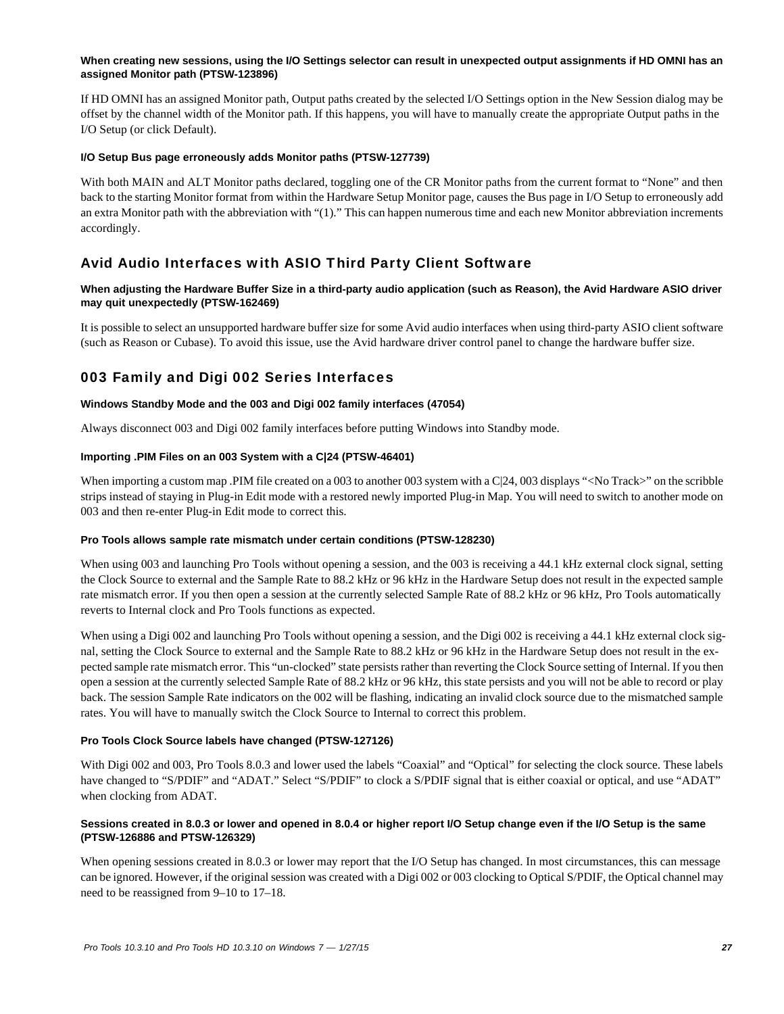#### When creating new sessions, using the I/O Settings selector can result in unexpected output assignments if HD OMNI has an **assigned Monitor path (PTSW-123896)**

If HD OMNI has an assigned Monitor path, Output paths created by the selected I/O Settings option in the New Session dialog may be offset by the channel width of the Monitor path. If this happens, you will have to manually create the appropriate Output paths in the I/O Setup (or click Default).

#### **I/O Setup Bus page erroneously adds Monitor paths (PTSW-127739)**

With both MAIN and ALT Monitor paths declared, toggling one of the CR Monitor paths from the current format to "None" and then back to the starting Monitor format from within the Hardware Setup Monitor page, causes the Bus page in I/O Setup to erroneously add an extra Monitor path with the abbreviation with "(1)." This can happen numerous time and each new Monitor abbreviation increments accordingly.

## Avid Audio Interfaces with ASIO Third Party Client Software

#### **When adjusting the Hardware Buffer Size in a third-party audio application (such as Reason), the Avid Hardware ASIO driver may quit unexpectedly (PTSW-162469)**

It is possible to select an unsupported hardware buffer size for some Avid audio interfaces when using third-party ASIO client software (such as Reason or Cubase). To avoid this issue, use the Avid hardware driver control panel to change the hardware buffer size.

## 003 Family and Digi 002 Series Interfaces

#### **Windows Standby Mode and the 003 and Digi 002 family interfaces (47054)**

Always disconnect 003 and Digi 002 family interfaces before putting Windows into Standby mode.

#### **Importing .PIM Files on an 003 System with a C|24 (PTSW-46401)**

When importing a custom map .PIM file created on a 003 to another 003 system with a C|24, 003 displays "<No Track>" on the scribble strips instead of staying in Plug-in Edit mode with a restored newly imported Plug-in Map. You will need to switch to another mode on 003 and then re-enter Plug-in Edit mode to correct this.

#### **Pro Tools allows sample rate mismatch under certain conditions (PTSW-128230)**

When using 003 and launching Pro Tools without opening a session, and the 003 is receiving a 44.1 kHz external clock signal, setting the Clock Source to external and the Sample Rate to 88.2 kHz or 96 kHz in the Hardware Setup does not result in the expected sample rate mismatch error. If you then open a session at the currently selected Sample Rate of 88.2 kHz or 96 kHz, Pro Tools automatically reverts to Internal clock and Pro Tools functions as expected.

When using a Digi 002 and launching Pro Tools without opening a session, and the Digi 002 is receiving a 44.1 kHz external clock signal, setting the Clock Source to external and the Sample Rate to 88.2 kHz or 96 kHz in the Hardware Setup does not result in the expected sample rate mismatch error. This "un-clocked" state persists rather than reverting the Clock Source setting of Internal. If you then open a session at the currently selected Sample Rate of 88.2 kHz or 96 kHz, this state persists and you will not be able to record or play back. The session Sample Rate indicators on the 002 will be flashing, indicating an invalid clock source due to the mismatched sample rates. You will have to manually switch the Clock Source to Internal to correct this problem.

#### **Pro Tools Clock Source labels have changed (PTSW-127126)**

With Digi 002 and 003, Pro Tools 8.0.3 and lower used the labels "Coaxial" and "Optical" for selecting the clock source. These labels have changed to "S/PDIF" and "ADAT." Select "S/PDIF" to clock a S/PDIF signal that is either coaxial or optical, and use "ADAT" when clocking from ADAT.

#### **Sessions created in 8.0.3 or lower and opened in 8.0.4 or higher report I/O Setup change even if the I/O Setup is the same (PTSW-126886 and PTSW-126329)**

When opening sessions created in 8.0.3 or lower may report that the I/O Setup has changed. In most circumstances, this can message can be ignored. However, if the original session was created with a Digi 002 or 003 clocking to Optical S/PDIF, the Optical channel may need to be reassigned from 9–10 to 17–18.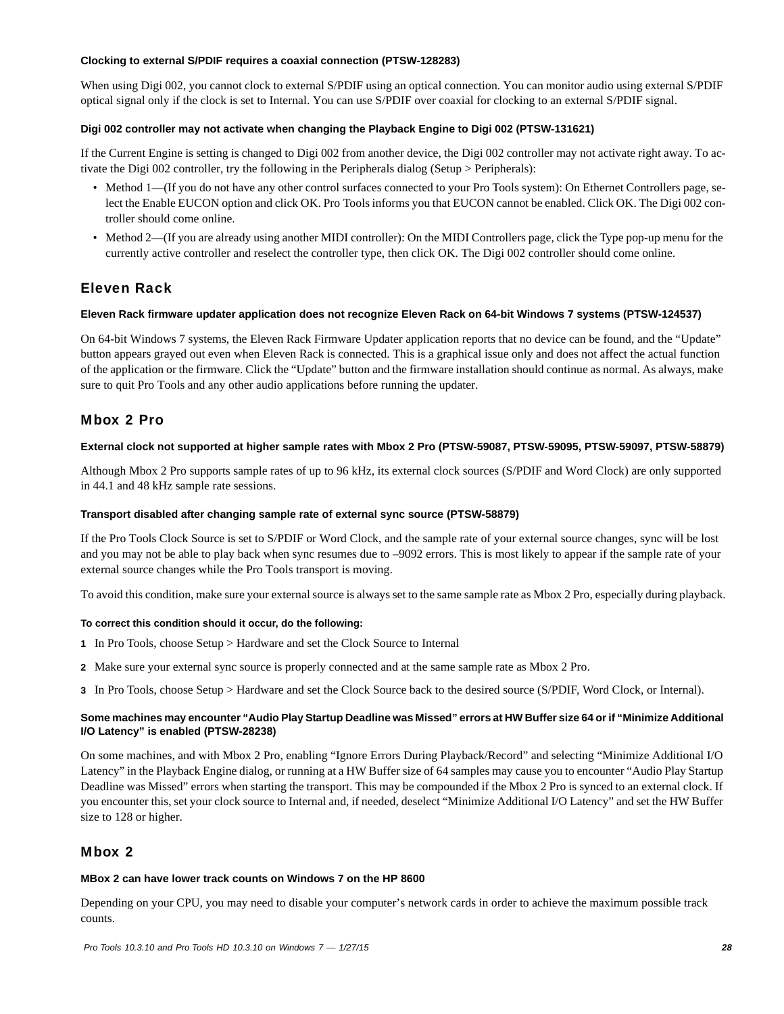#### **Clocking to external S/PDIF requires a coaxial connection (PTSW-128283)**

When using Digi 002, you cannot clock to external S/PDIF using an optical connection. You can monitor audio using external S/PDIF optical signal only if the clock is set to Internal. You can use S/PDIF over coaxial for clocking to an external S/PDIF signal.

#### **Digi 002 controller may not activate when changing the Playback Engine to Digi 002 (PTSW-131621)**

If the Current Engine is setting is changed to Digi 002 from another device, the Digi 002 controller may not activate right away. To activate the Digi 002 controller, try the following in the Peripherals dialog (Setup > Peripherals):

- Method 1—(If you do not have any other control surfaces connected to your Pro Tools system): On Ethernet Controllers page, select the Enable EUCON option and click OK. Pro Tools informs you that EUCON cannot be enabled. Click OK. The Digi 002 controller should come online.
- Method 2—(If you are already using another MIDI controller): On the MIDI Controllers page, click the Type pop-up menu for the currently active controller and reselect the controller type, then click OK. The Digi 002 controller should come online.

## Eleven Rack

#### **Eleven Rack firmware updater application does not recognize Eleven Rack on 64-bit Windows 7 systems (PTSW-124537)**

On 64-bit Windows 7 systems, the Eleven Rack Firmware Updater application reports that no device can be found, and the "Update" button appears grayed out even when Eleven Rack is connected. This is a graphical issue only and does not affect the actual function of the application or the firmware. Click the "Update" button and the firmware installation should continue as normal. As always, make sure to quit Pro Tools and any other audio applications before running the updater.

### Mbox 2 Pro

#### **External clock not supported at higher sample rates with Mbox 2 Pro (PTSW-59087, PTSW-59095, PTSW-59097, PTSW-58879)**

Although Mbox 2 Pro supports sample rates of up to 96 kHz, its external clock sources (S/PDIF and Word Clock) are only supported in 44.1 and 48 kHz sample rate sessions.

#### **Transport disabled after changing sample rate of external sync source (PTSW-58879)**

If the Pro Tools Clock Source is set to S/PDIF or Word Clock, and the sample rate of your external source changes, sync will be lost and you may not be able to play back when sync resumes due to –9092 errors. This is most likely to appear if the sample rate of your external source changes while the Pro Tools transport is moving.

To avoid this condition, make sure your external source is always set to the same sample rate as Mbox 2 Pro, especially during playback.

#### **To correct this condition should it occur, do the following:**

- **1** In Pro Tools, choose Setup > Hardware and set the Clock Source to Internal
- **2** Make sure your external sync source is properly connected and at the same sample rate as Mbox 2 Pro.
- **3** In Pro Tools, choose Setup > Hardware and set the Clock Source back to the desired source (S/PDIF, Word Clock, or Internal).

#### **Some machines may encounter "Audio Play Startup Deadline was Missed" errors at HW Buffer size 64 or if "Minimize Additional I/O Latency" is enabled (PTSW-28238)**

On some machines, and with Mbox 2 Pro, enabling "Ignore Errors During Playback/Record" and selecting "Minimize Additional I/O Latency" in the Playback Engine dialog, or running at a HW Buffer size of 64 samples may cause you to encounter "Audio Play Startup Deadline was Missed" errors when starting the transport. This may be compounded if the Mbox 2 Pro is synced to an external clock. If you encounter this, set your clock source to Internal and, if needed, deselect "Minimize Additional I/O Latency" and set the HW Buffer size to 128 or higher.

### Mbox 2

#### **MBox 2 can have lower track counts on Windows 7 on the HP 8600**

Depending on your CPU, you may need to disable your computer's network cards in order to achieve the maximum possible track counts.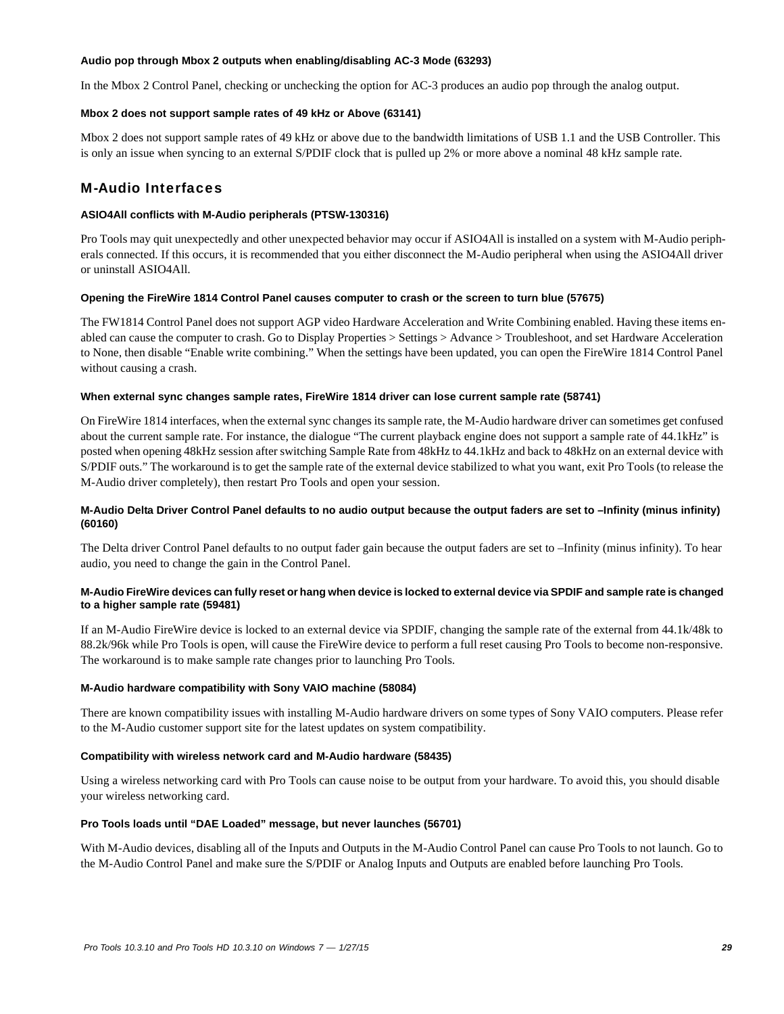#### **Audio pop through Mbox 2 outputs when enabling/disabling AC-3 Mode (63293)**

In the Mbox 2 Control Panel, checking or unchecking the option for AC-3 produces an audio pop through the analog output.

#### **Mbox 2 does not support sample rates of 49 kHz or Above (63141)**

Mbox 2 does not support sample rates of 49 kHz or above due to the bandwidth limitations of USB 1.1 and the USB Controller. This is only an issue when syncing to an external S/PDIF clock that is pulled up 2% or more above a nominal 48 kHz sample rate.

### M-Audio Interfaces

#### **ASIO4All conflicts with M-Audio peripherals (PTSW-130316)**

Pro Tools may quit unexpectedly and other unexpected behavior may occur if ASIO4All is installed on a system with M-Audio peripherals connected. If this occurs, it is recommended that you either disconnect the M-Audio peripheral when using the ASIO4All driver or uninstall ASIO4All.

#### **Opening the FireWire 1814 Control Panel causes computer to crash or the screen to turn blue (57675)**

The FW1814 Control Panel does not support AGP video Hardware Acceleration and Write Combining enabled. Having these items enabled can cause the computer to crash. Go to Display Properties > Settings > Advance > Troubleshoot, and set Hardware Acceleration to None, then disable "Enable write combining." When the settings have been updated, you can open the FireWire 1814 Control Panel without causing a crash.

#### **When external sync changes sample rates, FireWire 1814 driver can lose current sample rate (58741)**

On FireWire 1814 interfaces, when the external sync changes its sample rate, the M-Audio hardware driver can sometimes get confused about the current sample rate. For instance, the dialogue "The current playback engine does not support a sample rate of 44.1kHz" is posted when opening 48kHz session after switching Sample Rate from 48kHz to 44.1kHz and back to 48kHz on an external device with S/PDIF outs." The workaround is to get the sample rate of the external device stabilized to what you want, exit Pro Tools (to release the M-Audio driver completely), then restart Pro Tools and open your session.

#### **M-Audio Delta Driver Control Panel defaults to no audio output because the output faders are set to –Infinity (minus infinity) (60160)**

The Delta driver Control Panel defaults to no output fader gain because the output faders are set to –Infinity (minus infinity). To hear audio, you need to change the gain in the Control Panel.

#### **M-Audio FireWire devices can fully reset or hang when device is locked to external device via SPDIF and sample rate is changed to a higher sample rate (59481)**

If an M-Audio FireWire device is locked to an external device via SPDIF, changing the sample rate of the external from 44.1k/48k to 88.2k/96k while Pro Tools is open, will cause the FireWire device to perform a full reset causing Pro Tools to become non-responsive. The workaround is to make sample rate changes prior to launching Pro Tools.

#### **M-Audio hardware compatibility with Sony VAIO machine (58084)**

There are known compatibility issues with installing M-Audio hardware drivers on some types of Sony VAIO computers. Please refer to the M-Audio customer support site for the latest updates on system compatibility.

#### **Compatibility with wireless network card and M-Audio hardware (58435)**

Using a wireless networking card with Pro Tools can cause noise to be output from your hardware. To avoid this, you should disable your wireless networking card.

#### **Pro Tools loads until "DAE Loaded" message, but never launches (56701)**

With M-Audio devices, disabling all of the Inputs and Outputs in the M-Audio Control Panel can cause Pro Tools to not launch. Go to the M-Audio Control Panel and make sure the S/PDIF or Analog Inputs and Outputs are enabled before launching Pro Tools.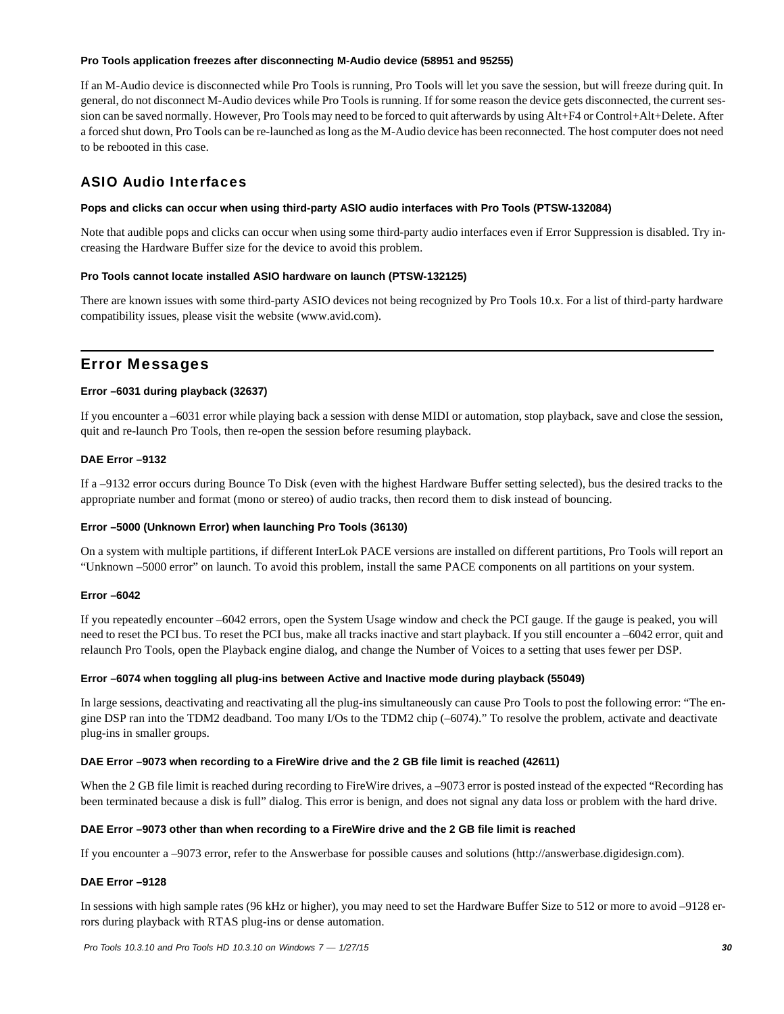#### **Pro Tools application freezes after disconnecting M-Audio device (58951 and 95255)**

If an M-Audio device is disconnected while Pro Tools is running, Pro Tools will let you save the session, but will freeze during quit. In general, do not disconnect M-Audio devices while Pro Tools is running. If for some reason the device gets disconnected, the current session can be saved normally. However, Pro Tools may need to be forced to quit afterwards by using Alt+F4 or Control+Alt+Delete. After a forced shut down, Pro Tools can be re-launched as long as the M-Audio device has been reconnected. The host computer does not need to be rebooted in this case.

## ASIO Audio Interfaces

#### **Pops and clicks can occur when using third-party ASIO audio interfaces with Pro Tools (PTSW-132084)**

Note that audible pops and clicks can occur when using some third-party audio interfaces even if Error Suppression is disabled. Try increasing the Hardware Buffer size for the device to avoid this problem.

#### **Pro Tools cannot locate installed ASIO hardware on launch (PTSW-132125)**

There are known issues with some third-party ASIO devices not being recognized by Pro Tools 10.x. For a list of third-party hardware compatibility issues, please visit the website (www.avid.com).

## Error Messages

#### **Error –6031 during playback (32637)**

If you encounter a –6031 error while playing back a session with dense MIDI or automation, stop playback, save and close the session, quit and re-launch Pro Tools, then re-open the session before resuming playback.

#### **DAE Error –9132**

If a –9132 error occurs during Bounce To Disk (even with the highest Hardware Buffer setting selected), bus the desired tracks to the appropriate number and format (mono or stereo) of audio tracks, then record them to disk instead of bouncing.

#### **Error –5000 (Unknown Error) when launching Pro Tools (36130)**

On a system with multiple partitions, if different InterLok PACE versions are installed on different partitions, Pro Tools will report an "Unknown –5000 error" on launch. To avoid this problem, install the same PACE components on all partitions on your system.

#### **Error –6042**

If you repeatedly encounter –6042 errors, open the System Usage window and check the PCI gauge. If the gauge is peaked, you will need to reset the PCI bus. To reset the PCI bus, make all tracks inactive and start playback. If you still encounter a –6042 error, quit and relaunch Pro Tools, open the Playback engine dialog, and change the Number of Voices to a setting that uses fewer per DSP.

#### **Error –6074 when toggling all plug-ins between Active and Inactive mode during playback (55049)**

In large sessions, deactivating and reactivating all the plug-ins simultaneously can cause Pro Tools to post the following error: "The engine DSP ran into the TDM2 deadband. Too many I/Os to the TDM2 chip (–6074)." To resolve the problem, activate and deactivate plug-ins in smaller groups.

#### **DAE Error –9073 when recording to a FireWire drive and the 2 GB file limit is reached (42611)**

When the 2 GB file limit is reached during recording to FireWire drives, a -9073 error is posted instead of the expected "Recording has been terminated because a disk is full" dialog. This error is benign, and does not signal any data loss or problem with the hard drive.

#### **DAE Error –9073 other than when recording to a FireWire drive and the 2 GB file limit is reached**

If you encounter a –9073 error, refer to the Answerbase for possible causes and solutions (http://answerbase.digidesign.com).

#### **DAE Error –9128**

In sessions with high sample rates (96 kHz or higher), you may need to set the Hardware Buffer Size to 512 or more to avoid –9128 errors during playback with RTAS plug-ins or dense automation.